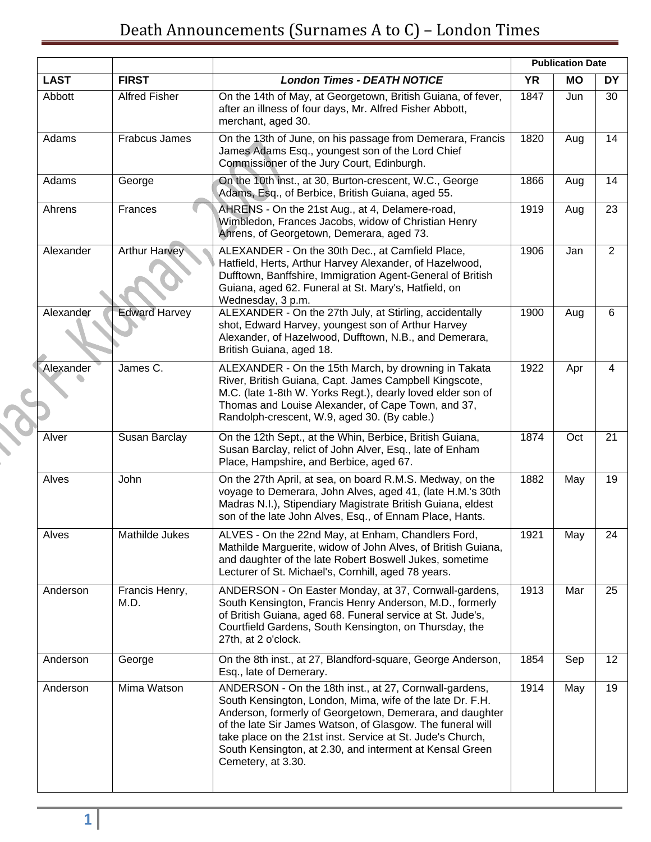|             |                        |                                                                                                                                                                                                                                                                                                                                                                                               |           | <b>Publication Date</b> |           |
|-------------|------------------------|-----------------------------------------------------------------------------------------------------------------------------------------------------------------------------------------------------------------------------------------------------------------------------------------------------------------------------------------------------------------------------------------------|-----------|-------------------------|-----------|
| <b>LAST</b> | <b>FIRST</b>           | <b>London Times - DEATH NOTICE</b>                                                                                                                                                                                                                                                                                                                                                            | <b>YR</b> | <b>MO</b>               | <b>DY</b> |
| Abbott      | <b>Alfred Fisher</b>   | On the 14th of May, at Georgetown, British Guiana, of fever,<br>after an illness of four days, Mr. Alfred Fisher Abbott,<br>merchant, aged 30.                                                                                                                                                                                                                                                | 1847      | Jun                     | 30        |
| Adams       | Frabcus James          | On the 13th of June, on his passage from Demerara, Francis<br>James Adams Esq., youngest son of the Lord Chief<br>Commissioner of the Jury Court, Edinburgh.                                                                                                                                                                                                                                  | 1820      | Aug                     | 14        |
| Adams       | George                 | On the 10th inst., at 30, Burton-crescent, W.C., George<br>Adams, Esq., of Berbice, British Guiana, aged 55.                                                                                                                                                                                                                                                                                  | 1866      | Aug                     | 14        |
| Ahrens      | Frances                | AHRENS - On the 21st Aug., at 4, Delamere-road,<br>Wimbledon, Frances Jacobs, widow of Christian Henry<br>Ahrens, of Georgetown, Demerara, aged 73.                                                                                                                                                                                                                                           | 1919      | Aug                     | 23        |
| Alexander   | <b>Arthur Harvey</b>   | ALEXANDER - On the 30th Dec., at Camfield Place,<br>Hatfield, Herts, Arthur Harvey Alexander, of Hazelwood,<br>Dufftown, Banffshire, Immigration Agent-General of British<br>Guiana, aged 62. Funeral at St. Mary's, Hatfield, on<br>Wednesday, 3 p.m.                                                                                                                                        | 1906      | Jan                     | 2         |
| Alexander   | <b>Edward Harvey</b>   | ALEXANDER - On the 27th July, at Stirling, accidentally<br>shot, Edward Harvey, youngest son of Arthur Harvey<br>Alexander, of Hazelwood, Dufftown, N.B., and Demerara,<br>British Guiana, aged 18.                                                                                                                                                                                           | 1900      | Aug                     | 6         |
| Alexander   | James C.               | ALEXANDER - On the 15th March, by drowning in Takata<br>River, British Guiana, Capt. James Campbell Kingscote,<br>M.C. (late 1-8th W. Yorks Regt.), dearly loved elder son of<br>Thomas and Louise Alexander, of Cape Town, and 37,<br>Randolph-crescent, W.9, aged 30. (By cable.)                                                                                                           | 1922      | Apr                     | 4         |
| Alver       | Susan Barclay          | On the 12th Sept., at the Whin, Berbice, British Guiana,<br>Susan Barclay, relict of John Alver, Esq., late of Enham<br>Place, Hampshire, and Berbice, aged 67.                                                                                                                                                                                                                               | 1874      | Oct                     | 21        |
| Alves       | John                   | On the 27th April, at sea, on board R.M.S. Medway, on the<br>voyage to Demerara, John Alves, aged 41, (late H.M.'s 30th<br>Madras N.I.), Stipendiary Magistrate British Guiana, eldest<br>son of the late John Alves, Esq., of Ennam Place, Hants.                                                                                                                                            | 1882      | May                     | 19        |
| Alves       | Mathilde Jukes         | ALVES - On the 22nd May, at Enham, Chandlers Ford,<br>Mathilde Marguerite, widow of John Alves, of British Guiana,<br>and daughter of the late Robert Boswell Jukes, sometime<br>Lecturer of St. Michael's, Cornhill, aged 78 years.                                                                                                                                                          | 1921      | May                     | 24        |
| Anderson    | Francis Henry,<br>M.D. | ANDERSON - On Easter Monday, at 37, Cornwall-gardens,<br>South Kensington, Francis Henry Anderson, M.D., formerly<br>of British Guiana, aged 68. Funeral service at St. Jude's,<br>Courtfield Gardens, South Kensington, on Thursday, the<br>27th, at 2 o'clock.                                                                                                                              | 1913      | Mar                     | 25        |
| Anderson    | George                 | On the 8th inst., at 27, Blandford-square, George Anderson,<br>Esq., late of Demerary.                                                                                                                                                                                                                                                                                                        | 1854      | Sep                     | 12        |
| Anderson    | Mima Watson            | ANDERSON - On the 18th inst., at 27, Cornwall-gardens,<br>South Kensington, London, Mima, wife of the late Dr. F.H.<br>Anderson, formerly of Georgetown, Demerara, and daughter<br>of the late Sir James Watson, of Glasgow. The funeral will<br>take place on the 21st inst. Service at St. Jude's Church,<br>South Kensington, at 2.30, and interment at Kensal Green<br>Cemetery, at 3.30. | 1914      | May                     | 19        |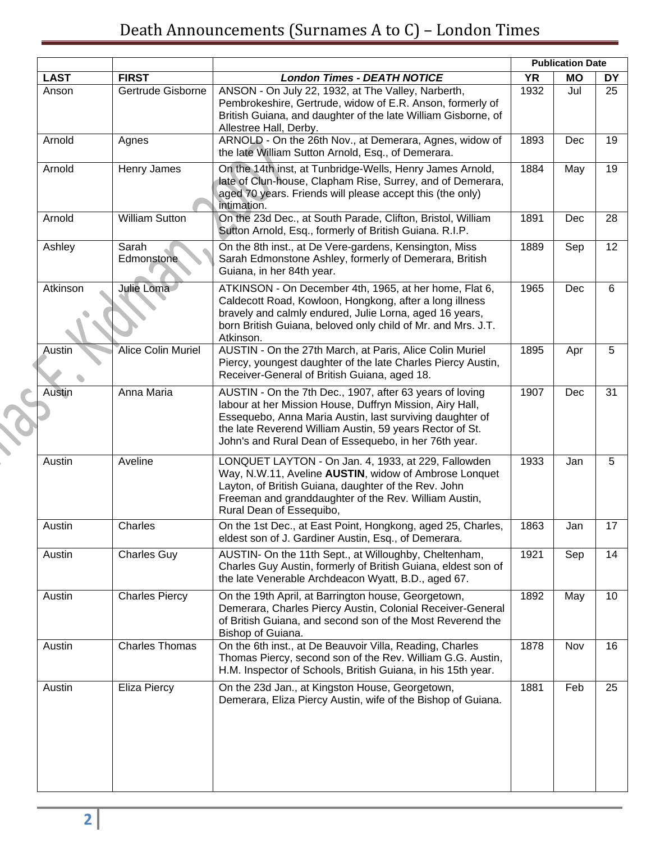|             |                       |                                                                                                                                                                                                                                                                                                       |           | <b>Publication Date</b> |           |
|-------------|-----------------------|-------------------------------------------------------------------------------------------------------------------------------------------------------------------------------------------------------------------------------------------------------------------------------------------------------|-----------|-------------------------|-----------|
| <b>LAST</b> | <b>FIRST</b>          | <b>London Times - DEATH NOTICE</b>                                                                                                                                                                                                                                                                    | <b>YR</b> | <b>MO</b>               | <b>DY</b> |
| Anson       | Gertrude Gisborne     | ANSON - On July 22, 1932, at The Valley, Narberth,<br>Pembrokeshire, Gertrude, widow of E.R. Anson, formerly of<br>British Guiana, and daughter of the late William Gisborne, of<br>Allestree Hall, Derby.                                                                                            | 1932      | Jul                     | 25        |
| Arnold      | Agnes                 | ARNOLD - On the 26th Nov., at Demerara, Agnes, widow of<br>the late William Sutton Arnold, Esq., of Demerara.                                                                                                                                                                                         | 1893      | Dec                     | 19        |
| Arnold      | Henry James           | On the 14th inst, at Tunbridge-Wells, Henry James Arnold,<br>late of Clun-house, Clapham Rise, Surrey, and of Demerara,<br>aged 70 years. Friends will please accept this (the only)<br>intimation.                                                                                                   | 1884      | May                     | 19        |
| Arnold      | <b>William Sutton</b> | On the 23d Dec., at South Parade, Clifton, Bristol, William<br>Sutton Arnold, Esq., formerly of British Guiana. R.I.P.                                                                                                                                                                                | 1891      | Dec                     | 28        |
| Ashley      | Sarah<br>Edmonstone   | On the 8th inst., at De Vere-gardens, Kensington, Miss<br>Sarah Edmonstone Ashley, formerly of Demerara, British<br>Guiana, in her 84th year.                                                                                                                                                         | 1889      | Sep                     | 12        |
| Atkinson    | Julie Loma            | ATKINSON - On December 4th, 1965, at her home, Flat 6,<br>Caldecott Road, Kowloon, Hongkong, after a long illness<br>bravely and calmly endured, Julie Lorna, aged 16 years,<br>born British Guiana, beloved only child of Mr. and Mrs. J.T.<br>Atkinson.                                             | 1965      | Dec                     | 6         |
| Austin      | Alice Colin Muriel    | AUSTIN - On the 27th March, at Paris, Alice Colin Muriel<br>Piercy, youngest daughter of the late Charles Piercy Austin,<br>Receiver-General of British Guiana, aged 18.                                                                                                                              | 1895      | Apr                     | 5         |
| Austin      | Anna Maria            | AUSTIN - On the 7th Dec., 1907, after 63 years of loving<br>labour at her Mission House, Duffryn Mission, Airy Hall,<br>Essequebo, Anna Maria Austin, last surviving daughter of<br>the late Reverend William Austin, 59 years Rector of St.<br>John's and Rural Dean of Essequebo, in her 76th year. | 1907      | Dec                     | 31        |
| Austin      | Aveline               | LONQUET LAYTON - On Jan. 4, 1933, at 229, Fallowden<br>Way, N.W.11, Aveline AUSTIN, widow of Ambrose Lonquet<br>Layton, of British Guiana, daughter of the Rev. John<br>Freeman and granddaughter of the Rev. William Austin,<br>Rural Dean of Essequibo,                                             | 1933      | Jan                     | 5         |
| Austin      | Charles               | On the 1st Dec., at East Point, Hongkong, aged 25, Charles,<br>eldest son of J. Gardiner Austin, Esq., of Demerara.                                                                                                                                                                                   | 1863      | Jan                     | 17        |
| Austin      | <b>Charles Guy</b>    | AUSTIN- On the 11th Sept., at Willoughby, Cheltenham,<br>Charles Guy Austin, formerly of British Guiana, eldest son of<br>the late Venerable Archdeacon Wyatt, B.D., aged 67.                                                                                                                         | 1921      | Sep                     | 14        |
| Austin      | <b>Charles Piercy</b> | On the 19th April, at Barrington house, Georgetown,<br>Demerara, Charles Piercy Austin, Colonial Receiver-General<br>of British Guiana, and second son of the Most Reverend the<br>Bishop of Guiana.                                                                                                  | 1892      | May                     | 10        |
| Austin      | <b>Charles Thomas</b> | On the 6th inst., at De Beauvoir Villa, Reading, Charles<br>Thomas Piercy, second son of the Rev. William G.G. Austin,<br>H.M. Inspector of Schools, British Guiana, in his 15th year.                                                                                                                | 1878      | Nov                     | 16        |
| Austin      | Eliza Piercy          | On the 23d Jan., at Kingston House, Georgetown,<br>Demerara, Eliza Piercy Austin, wife of the Bishop of Guiana.                                                                                                                                                                                       | 1881      | Feb                     | 25        |
|             |                       |                                                                                                                                                                                                                                                                                                       |           |                         |           |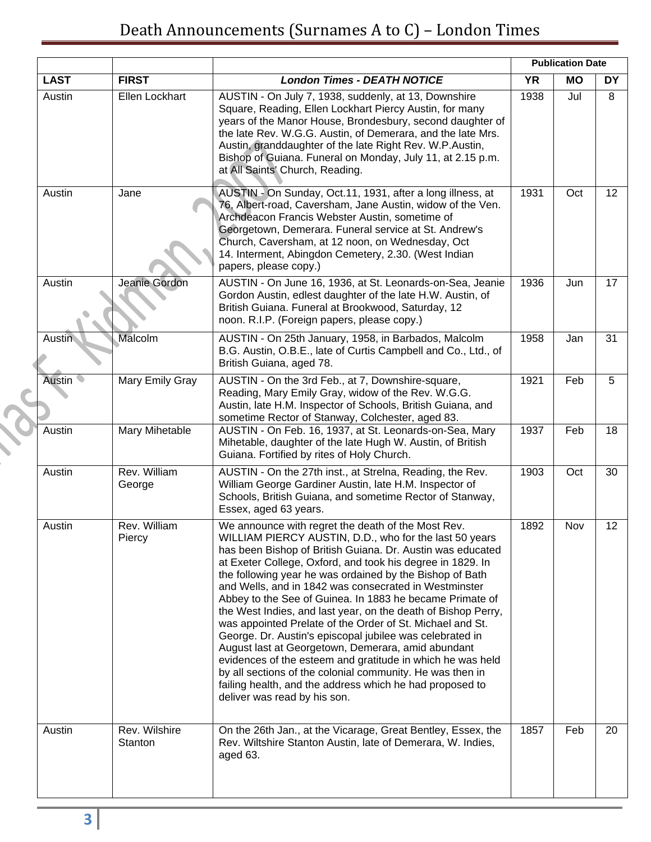|               |                          |                                                                                                                                                                                                                                                                                                                                                                                                                                                                                                                                                                                                                                                                                                                                                                                                                                                                                                  |           | <b>Publication Date</b> |    |
|---------------|--------------------------|--------------------------------------------------------------------------------------------------------------------------------------------------------------------------------------------------------------------------------------------------------------------------------------------------------------------------------------------------------------------------------------------------------------------------------------------------------------------------------------------------------------------------------------------------------------------------------------------------------------------------------------------------------------------------------------------------------------------------------------------------------------------------------------------------------------------------------------------------------------------------------------------------|-----------|-------------------------|----|
| <b>LAST</b>   | <b>FIRST</b>             | <b>London Times - DEATH NOTICE</b>                                                                                                                                                                                                                                                                                                                                                                                                                                                                                                                                                                                                                                                                                                                                                                                                                                                               | <b>YR</b> | <b>MO</b>               | DY |
| Austin        | Ellen Lockhart           | AUSTIN - On July 7, 1938, suddenly, at 13, Downshire<br>Square, Reading, Ellen Lockhart Piercy Austin, for many<br>years of the Manor House, Brondesbury, second daughter of<br>the late Rev. W.G.G. Austin, of Demerara, and the late Mrs.<br>Austin, granddaughter of the late Right Rev. W.P.Austin,<br>Bishop of Guiana. Funeral on Monday, July 11, at 2.15 p.m.<br>at All Saints' Church, Reading.                                                                                                                                                                                                                                                                                                                                                                                                                                                                                         | 1938      | Jul                     | 8  |
| Austin        | Jane                     | AUSTIN - On Sunday, Oct.11, 1931, after a long illness, at<br>76, Albert-road, Caversham, Jane Austin, widow of the Ven.<br>Archdeacon Francis Webster Austin, sometime of<br>Georgetown, Demerara. Funeral service at St. Andrew's<br>Church, Caversham, at 12 noon, on Wednesday, Oct<br>14. Interment, Abingdon Cemetery, 2.30. (West Indian<br>papers, please copy.)                                                                                                                                                                                                                                                                                                                                                                                                                                                                                                                         | 1931      | Oct                     | 12 |
| Austin        | Jeanie Gordon            | AUSTIN - On June 16, 1936, at St. Leonards-on-Sea, Jeanie<br>Gordon Austin, edlest daughter of the late H.W. Austin, of<br>British Guiana. Funeral at Brookwood, Saturday, 12<br>noon. R.I.P. (Foreign papers, please copy.)                                                                                                                                                                                                                                                                                                                                                                                                                                                                                                                                                                                                                                                                     | 1936      | Jun                     | 17 |
| Austin        | Malcolm                  | AUSTIN - On 25th January, 1958, in Barbados, Malcolm<br>B.G. Austin, O.B.E., late of Curtis Campbell and Co., Ltd., of<br>British Guiana, aged 78.                                                                                                                                                                                                                                                                                                                                                                                                                                                                                                                                                                                                                                                                                                                                               | 1958      | Jan                     | 31 |
| <b>Austin</b> | Mary Emily Gray          | AUSTIN - On the 3rd Feb., at 7, Downshire-square,<br>Reading, Mary Emily Gray, widow of the Rev. W.G.G.<br>Austin, late H.M. Inspector of Schools, British Guiana, and<br>sometime Rector of Stanway, Colchester, aged 83.                                                                                                                                                                                                                                                                                                                                                                                                                                                                                                                                                                                                                                                                       | 1921      | Feb                     | 5  |
| Austin        | Mary Mihetable           | AUSTIN - On Feb. 16, 1937, at St. Leonards-on-Sea, Mary<br>Mihetable, daughter of the late Hugh W. Austin, of British<br>Guiana. Fortified by rites of Holy Church.                                                                                                                                                                                                                                                                                                                                                                                                                                                                                                                                                                                                                                                                                                                              | 1937      | Feb                     | 18 |
| Austin        | Rev. William<br>George   | AUSTIN - On the 27th inst., at Strelna, Reading, the Rev.<br>William George Gardiner Austin, late H.M. Inspector of<br>Schools, British Guiana, and sometime Rector of Stanway,<br>Essex, aged 63 years.                                                                                                                                                                                                                                                                                                                                                                                                                                                                                                                                                                                                                                                                                         | 1903      | Oct                     | 30 |
| Austin        | Rev. William<br>Piercy   | We announce with regret the death of the Most Rev.<br>WILLIAM PIERCY AUSTIN, D.D., who for the last 50 years<br>has been Bishop of British Guiana. Dr. Austin was educated<br>at Exeter College, Oxford, and took his degree in 1829. In<br>the following year he was ordained by the Bishop of Bath<br>and Wells, and in 1842 was consecrated in Westminster<br>Abbey to the See of Guinea. In 1883 he became Primate of<br>the West Indies, and last year, on the death of Bishop Perry,<br>was appointed Prelate of the Order of St. Michael and St.<br>George. Dr. Austin's episcopal jubilee was celebrated in<br>August last at Georgetown, Demerara, amid abundant<br>evidences of the esteem and gratitude in which he was held<br>by all sections of the colonial community. He was then in<br>failing health, and the address which he had proposed to<br>deliver was read by his son. | 1892      | Nov                     | 12 |
| Austin        | Rev. Wilshire<br>Stanton | On the 26th Jan., at the Vicarage, Great Bentley, Essex, the<br>Rev. Wiltshire Stanton Austin, late of Demerara, W. Indies,<br>aged 63.                                                                                                                                                                                                                                                                                                                                                                                                                                                                                                                                                                                                                                                                                                                                                          | 1857      | Feb                     | 20 |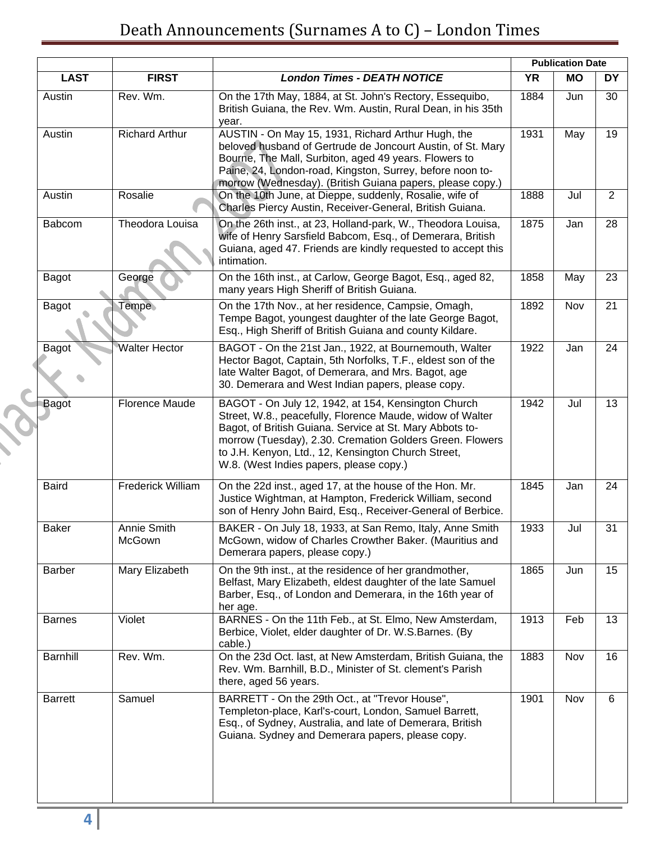|                |                          |                                                                                                                                                                                                                                                                                                                                            | <b>Publication Date</b> |           |                |
|----------------|--------------------------|--------------------------------------------------------------------------------------------------------------------------------------------------------------------------------------------------------------------------------------------------------------------------------------------------------------------------------------------|-------------------------|-----------|----------------|
| <b>LAST</b>    | <b>FIRST</b>             | <b>London Times - DEATH NOTICE</b>                                                                                                                                                                                                                                                                                                         | <b>YR</b>               | <b>MO</b> | DY             |
| Austin         | Rev. Wm.                 | On the 17th May, 1884, at St. John's Rectory, Essequibo,<br>British Guiana, the Rev. Wm. Austin, Rural Dean, in his 35th<br>year.                                                                                                                                                                                                          | 1884                    | Jun       | 30             |
| Austin         | <b>Richard Arthur</b>    | AUSTIN - On May 15, 1931, Richard Arthur Hugh, the<br>beloved husband of Gertrude de Joncourt Austin, of St. Mary<br>Bourne, The Mall, Surbiton, aged 49 years. Flowers to<br>Paine, 24, London-road, Kingston, Surrey, before noon to-<br>morrow (Wednesday). (British Guiana papers, please copy.)                                       | 1931                    | May       | 19             |
| Austin         | Rosalie                  | On the 10th June, at Dieppe, suddenly, Rosalie, wife of<br>Charles Piercy Austin, Receiver-General, British Guiana.                                                                                                                                                                                                                        | 1888                    | Jul       | $\overline{2}$ |
| Babcom         | Theodora Louisa          | On the 26th inst., at 23, Holland-park, W., Theodora Louisa,<br>wife of Henry Sarsfield Babcom, Esq., of Demerara, British<br>Guiana, aged 47. Friends are kindly requested to accept this<br>intimation.                                                                                                                                  | 1875                    | Jan       | 28             |
| Bagot          | George                   | On the 16th inst., at Carlow, George Bagot, Esq., aged 82,<br>many years High Sheriff of British Guiana.                                                                                                                                                                                                                                   | 1858                    | May       | 23             |
| Bagot          | Tempe                    | On the 17th Nov., at her residence, Campsie, Omagh,<br>Tempe Bagot, youngest daughter of the late George Bagot,<br>Esq., High Sheriff of British Guiana and county Kildare.                                                                                                                                                                | 1892                    | Nov       | 21             |
| Bagot          | <b>Walter Hector</b>     | BAGOT - On the 21st Jan., 1922, at Bournemouth, Walter<br>Hector Bagot, Captain, 5th Norfolks, T.F., eldest son of the<br>late Walter Bagot, of Demerara, and Mrs. Bagot, age<br>30. Demerara and West Indian papers, please copy.                                                                                                         | 1922                    | Jan       | 24             |
| Bagot          | <b>Florence Maude</b>    | BAGOT - On July 12, 1942, at 154, Kensington Church<br>Street, W.8., peacefully, Florence Maude, widow of Walter<br>Bagot, of British Guiana. Service at St. Mary Abbots to-<br>morrow (Tuesday), 2.30. Cremation Golders Green. Flowers<br>to J.H. Kenyon, Ltd., 12, Kensington Church Street,<br>W.8. (West Indies papers, please copy.) | 1942                    | Jul       | 13             |
| <b>Baird</b>   | <b>Frederick William</b> | On the 22d inst., aged 17, at the house of the Hon. Mr.<br>Justice Wightman, at Hampton, Frederick William, second<br>son of Henry John Baird, Esq., Receiver-General of Berbice.                                                                                                                                                          | 1845                    | Jan       | 24             |
| <b>Baker</b>   | Annie Smith<br>McGown    | BAKER - On July 18, 1933, at San Remo, Italy, Anne Smith<br>McGown, widow of Charles Crowther Baker. (Mauritius and<br>Demerara papers, please copy.)                                                                                                                                                                                      | 1933                    | Jul       | 31             |
| <b>Barber</b>  | Mary Elizabeth           | On the 9th inst., at the residence of her grandmother,<br>Belfast, Mary Elizabeth, eldest daughter of the late Samuel<br>Barber, Esq., of London and Demerara, in the 16th year of<br>her age.                                                                                                                                             | 1865                    | Jun       | 15             |
| <b>Barnes</b>  | Violet                   | BARNES - On the 11th Feb., at St. Elmo, New Amsterdam,<br>Berbice, Violet, elder daughter of Dr. W.S.Barnes. (By<br>cable.)                                                                                                                                                                                                                | 1913                    | Feb       | 13             |
| Barnhill       | Rev. Wm.                 | On the 23d Oct. last, at New Amsterdam, British Guiana, the<br>Rev. Wm. Barnhill, B.D., Minister of St. clement's Parish<br>there, aged 56 years.                                                                                                                                                                                          | 1883                    | Nov       | 16             |
| <b>Barrett</b> | Samuel                   | BARRETT - On the 29th Oct., at "Trevor House",<br>Templeton-place, Karl's-court, London, Samuel Barrett,<br>Esq., of Sydney, Australia, and late of Demerara, British<br>Guiana. Sydney and Demerara papers, please copy.                                                                                                                  | 1901                    | Nov       | 6              |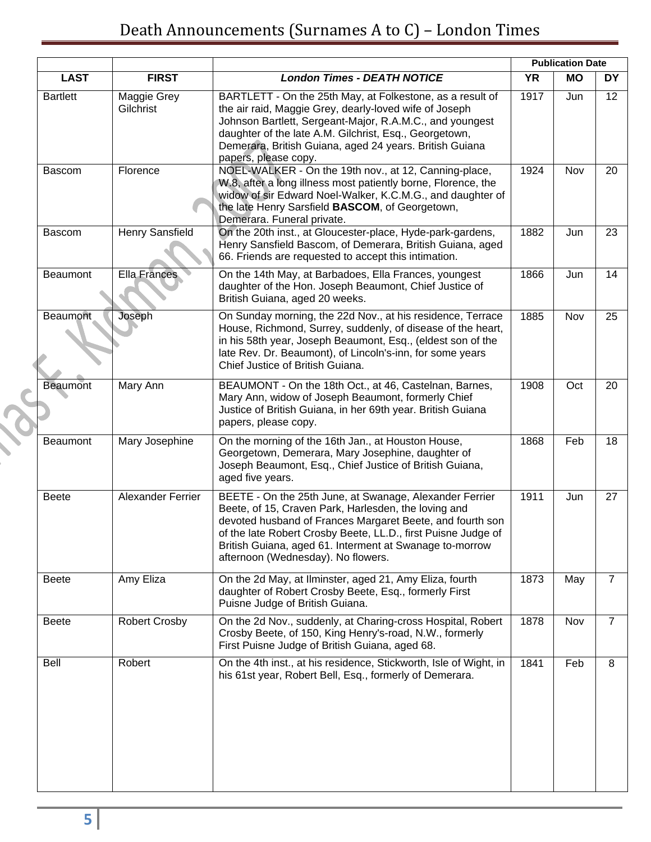|                 |                          |                                                                                                                                                                                                                                                                                                                                                |           | <b>Publication Date</b> |                |
|-----------------|--------------------------|------------------------------------------------------------------------------------------------------------------------------------------------------------------------------------------------------------------------------------------------------------------------------------------------------------------------------------------------|-----------|-------------------------|----------------|
| <b>LAST</b>     | <b>FIRST</b>             | <b>London Times - DEATH NOTICE</b>                                                                                                                                                                                                                                                                                                             | <b>YR</b> | <b>MO</b>               | DY             |
| <b>Bartlett</b> | Maggie Grey<br>Gilchrist | BARTLETT - On the 25th May, at Folkestone, as a result of<br>the air raid, Maggie Grey, dearly-loved wife of Joseph<br>Johnson Bartlett, Sergeant-Major, R.A.M.C., and youngest<br>daughter of the late A.M. Gilchrist, Esq., Georgetown,<br>Demerara, British Guiana, aged 24 years. British Guiana<br>papers, please copy.                   | 1917      | Jun                     | 12             |
| <b>Bascom</b>   | Florence                 | NOEL-WALKER - On the 19th nov., at 12, Canning-place,<br>W.8, after a long illness most patiently borne, Florence, the<br>widow of sir Edward Noel-Walker, K.C.M.G., and daughter of<br>the late Henry Sarsfield BASCOM, of Georgetown,<br>Demerara. Funeral private.                                                                          | 1924      | Nov                     | 20             |
| Bascom          | Henry Sansfield          | On the 20th inst., at Gloucester-place, Hyde-park-gardens,<br>Henry Sansfield Bascom, of Demerara, British Guiana, aged<br>66. Friends are requested to accept this intimation.                                                                                                                                                                | 1882      | Jun                     | 23             |
| Beaumont        | Ella Frances             | On the 14th May, at Barbadoes, Ella Frances, youngest<br>daughter of the Hon. Joseph Beaumont, Chief Justice of<br>British Guiana, aged 20 weeks.                                                                                                                                                                                              | 1866      | Jun                     | 14             |
| <b>Beaumont</b> | Joseph                   | On Sunday morning, the 22d Nov., at his residence, Terrace<br>House, Richmond, Surrey, suddenly, of disease of the heart,<br>in his 58th year, Joseph Beaumont, Esq., (eldest son of the<br>late Rev. Dr. Beaumont), of Lincoln's-inn, for some years<br>Chief Justice of British Guiana.                                                      | 1885      | Nov                     | 25             |
| <b>Beaumont</b> | Mary Ann                 | BEAUMONT - On the 18th Oct., at 46, Castelnan, Barnes,<br>Mary Ann, widow of Joseph Beaumont, formerly Chief<br>Justice of British Guiana, in her 69th year. British Guiana<br>papers, please copy.                                                                                                                                            | 1908      | Oct                     | 20             |
| Beaumont        | Mary Josephine           | On the morning of the 16th Jan., at Houston House,<br>Georgetown, Demerara, Mary Josephine, daughter of<br>Joseph Beaumont, Esq., Chief Justice of British Guiana,<br>aged five years.                                                                                                                                                         | 1868      | Feb                     | 18             |
| <b>Beete</b>    | Alexander Ferrier        | BEETE - On the 25th June, at Swanage, Alexander Ferrier<br>Beete, of 15, Craven Park, Harlesden, the loving and<br>devoted husband of Frances Margaret Beete, and fourth son<br>of the late Robert Crosby Beete, LL.D., first Puisne Judge of<br>British Guiana, aged 61. Interment at Swanage to-morrow<br>afternoon (Wednesday). No flowers. | 1911      | Jun                     | 27             |
| <b>Beete</b>    | Amy Eliza                | On the 2d May, at Ilminster, aged 21, Amy Eliza, fourth<br>daughter of Robert Crosby Beete, Esq., formerly First<br>Puisne Judge of British Guiana.                                                                                                                                                                                            | 1873      | May                     | $\overline{7}$ |
| <b>Beete</b>    | <b>Robert Crosby</b>     | On the 2d Nov., suddenly, at Charing-cross Hospital, Robert<br>Crosby Beete, of 150, King Henry's-road, N.W., formerly<br>First Puisne Judge of British Guiana, aged 68.                                                                                                                                                                       | 1878      | Nov                     | $\overline{7}$ |
| Bell            | Robert                   | On the 4th inst., at his residence, Stickworth, Isle of Wight, in<br>his 61st year, Robert Bell, Esq., formerly of Demerara.                                                                                                                                                                                                                   | 1841      | Feb                     | 8              |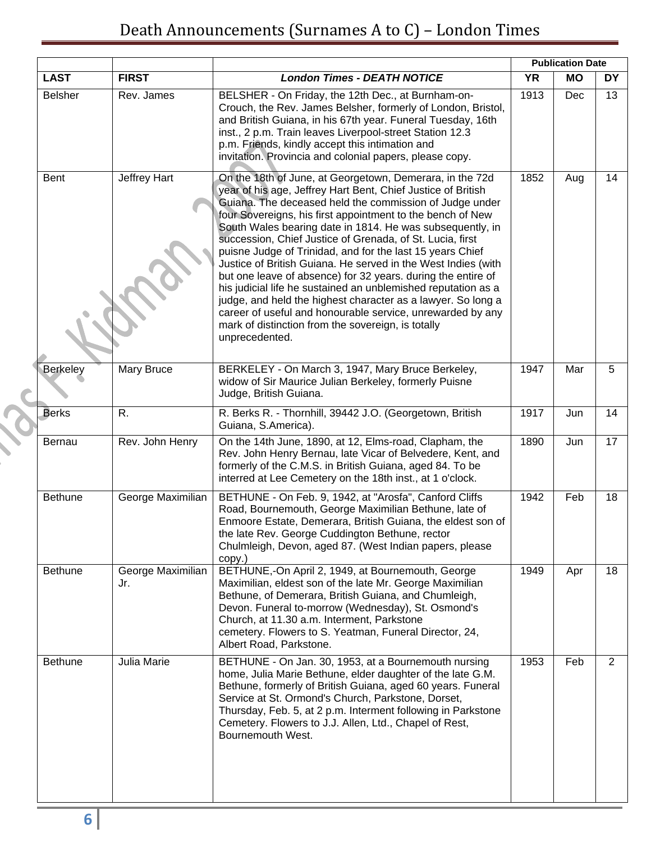## Death Announcements (Surnames A to C) – London Times

|                 |                          |                                                                                                                                                                                                                                                                                                                                                                                                                                                                                                                                                                                                                                                                                                                                                                                                                                                  | <b>Publication Date</b> |           |           |
|-----------------|--------------------------|--------------------------------------------------------------------------------------------------------------------------------------------------------------------------------------------------------------------------------------------------------------------------------------------------------------------------------------------------------------------------------------------------------------------------------------------------------------------------------------------------------------------------------------------------------------------------------------------------------------------------------------------------------------------------------------------------------------------------------------------------------------------------------------------------------------------------------------------------|-------------------------|-----------|-----------|
| <b>LAST</b>     | <b>FIRST</b>             | <b>London Times - DEATH NOTICE</b>                                                                                                                                                                                                                                                                                                                                                                                                                                                                                                                                                                                                                                                                                                                                                                                                               | <b>YR</b>               | <b>MO</b> | <b>DY</b> |
| <b>Belsher</b>  | Rev. James               | BELSHER - On Friday, the 12th Dec., at Burnham-on-<br>Crouch, the Rev. James Belsher, formerly of London, Bristol,<br>and British Guiana, in his 67th year. Funeral Tuesday, 16th<br>inst., 2 p.m. Train leaves Liverpool-street Station 12.3<br>p.m. Friends, kindly accept this intimation and<br>invitation. Provincia and colonial papers, please copy.                                                                                                                                                                                                                                                                                                                                                                                                                                                                                      | 1913                    | Dec       | 13        |
| Bent            | Jeffrey Hart             | On the 18th of June, at Georgetown, Demerara, in the 72d<br>year of his age, Jeffrey Hart Bent, Chief Justice of British<br>Guiana. The deceased held the commission of Judge under<br>four Sovereigns, his first appointment to the bench of New<br>South Wales bearing date in 1814. He was subsequently, in<br>succession, Chief Justice of Grenada, of St. Lucia, first<br>puisne Judge of Trinidad, and for the last 15 years Chief<br>Justice of British Guiana. He served in the West Indies (with<br>but one leave of absence) for 32 years. during the entire of<br>his judicial life he sustained an unblemished reputation as a<br>judge, and held the highest character as a lawyer. So long a<br>career of useful and honourable service, unrewarded by any<br>mark of distinction from the sovereign, is totally<br>unprecedented. | 1852                    | Aug       | 14        |
| <b>Berkeley</b> | Mary Bruce               | BERKELEY - On March 3, 1947, Mary Bruce Berkeley,<br>widow of Sir Maurice Julian Berkeley, formerly Puisne<br>Judge, British Guiana.                                                                                                                                                                                                                                                                                                                                                                                                                                                                                                                                                                                                                                                                                                             | 1947                    | Mar       | 5         |
| <b>Berks</b>    | R.                       | R. Berks R. - Thornhill, 39442 J.O. (Georgetown, British<br>Guiana, S.America).                                                                                                                                                                                                                                                                                                                                                                                                                                                                                                                                                                                                                                                                                                                                                                  | 1917                    | Jun       | 14        |
| <b>Bernau</b>   | Rev. John Henry          | On the 14th June, 1890, at 12, Elms-road, Clapham, the<br>Rev. John Henry Bernau, late Vicar of Belvedere, Kent, and<br>formerly of the C.M.S. in British Guiana, aged 84. To be<br>interred at Lee Cemetery on the 18th inst., at 1 o'clock.                                                                                                                                                                                                                                                                                                                                                                                                                                                                                                                                                                                                    | 1890                    | Jun       | 17        |
| <b>Bethune</b>  | George Maximilian        | BETHUNE - On Feb. 9, 1942, at "Arosfa", Canford Cliffs<br>Road, Bournemouth, George Maximilian Bethune, late of<br>Enmoore Estate, Demerara, British Guiana, the eldest son of<br>the late Rev. George Cuddington Bethune, rector<br>Chulmleigh, Devon, aged 87. (West Indian papers, please<br>copy.)                                                                                                                                                                                                                                                                                                                                                                                                                                                                                                                                           | 1942                    | Feb       | 18        |
| Bethune         | George Maximilian<br>Jr. | BETHUNE,-On April 2, 1949, at Bournemouth, George<br>Maximilian, eldest son of the late Mr. George Maximilian<br>Bethune, of Demerara, British Guiana, and Chumleigh,<br>Devon. Funeral to-morrow (Wednesday), St. Osmond's<br>Church, at 11.30 a.m. Interment, Parkstone<br>cemetery. Flowers to S. Yeatman, Funeral Director, 24,<br>Albert Road, Parkstone.                                                                                                                                                                                                                                                                                                                                                                                                                                                                                   | 1949                    | Apr       | 18        |
| <b>Bethune</b>  | Julia Marie              | BETHUNE - On Jan. 30, 1953, at a Bournemouth nursing<br>home, Julia Marie Bethune, elder daughter of the late G.M.<br>Bethune, formerly of British Guiana, aged 60 years. Funeral<br>Service at St. Ormond's Church, Parkstone, Dorset,<br>Thursday, Feb. 5, at 2 p.m. Interment following in Parkstone<br>Cemetery. Flowers to J.J. Allen, Ltd., Chapel of Rest,<br>Bournemouth West.                                                                                                                                                                                                                                                                                                                                                                                                                                                           | 1953                    | Feb       | 2         |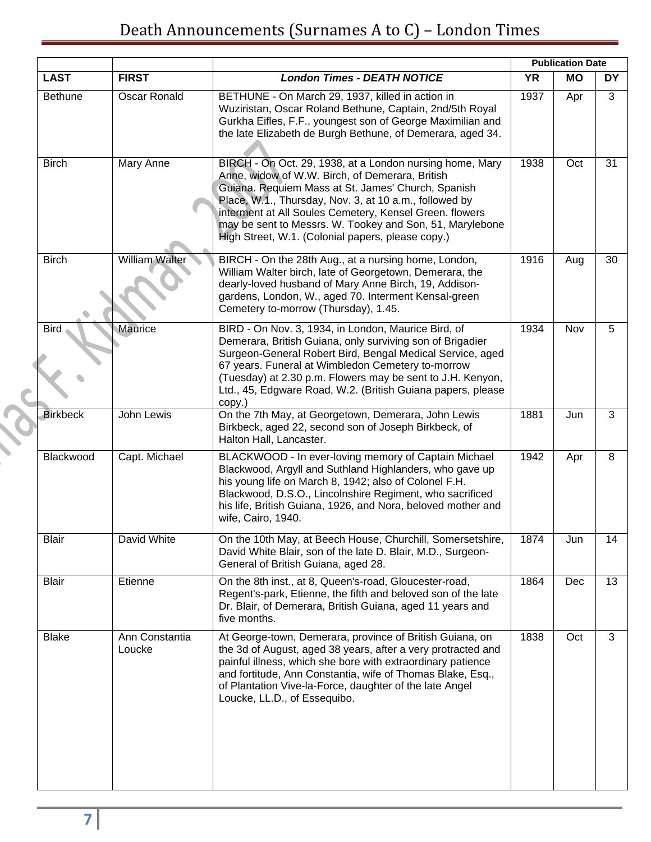## Death Announcements (Surnames A to C) – London Times

|                 |                          |                                                                                                                                                                                                                                                                                                                                                                                                         |           | <b>Publication Date</b> |           |
|-----------------|--------------------------|---------------------------------------------------------------------------------------------------------------------------------------------------------------------------------------------------------------------------------------------------------------------------------------------------------------------------------------------------------------------------------------------------------|-----------|-------------------------|-----------|
| <b>LAST</b>     | <b>FIRST</b>             | <b>London Times - DEATH NOTICE</b>                                                                                                                                                                                                                                                                                                                                                                      | <b>YR</b> | <b>MO</b>               | <b>DY</b> |
| <b>Bethune</b>  | <b>Oscar Ronald</b>      | BETHUNE - On March 29, 1937, killed in action in<br>Wuziristan, Oscar Roland Bethune, Captain, 2nd/5th Royal<br>Gurkha Eifles, F.F., youngest son of George Maximilian and<br>the late Elizabeth de Burgh Bethune, of Demerara, aged 34.                                                                                                                                                                | 1937      | Apr                     | 3         |
| <b>Birch</b>    | Mary Anne                | BIRCH - On Oct. 29, 1938, at a London nursing home, Mary<br>Anne, widow of W.W. Birch, of Demerara, British<br>Guiana. Requiem Mass at St. James' Church, Spanish<br>Place, W.1., Thursday, Nov. 3, at 10 a.m., followed by<br>interment at All Soules Cemetery, Kensel Green. flowers<br>may be sent to Messrs. W. Tookey and Son, 51, Marylebone<br>High Street, W.1. (Colonial papers, please copy.) | 1938      | Oct                     | 31        |
| <b>Birch</b>    | William Walter           | BIRCH - On the 28th Aug., at a nursing home, London,<br>William Walter birch, late of Georgetown, Demerara, the<br>dearly-loved husband of Mary Anne Birch, 19, Addison-<br>gardens, London, W., aged 70. Interment Kensal-green<br>Cemetery to-morrow (Thursday), 1.45.                                                                                                                                | 1916      | Aug                     | 30        |
| <b>Bird</b>     | Maurice                  | BIRD - On Nov. 3, 1934, in London, Maurice Bird, of<br>Demerara, British Guiana, only surviving son of Brigadier<br>Surgeon-General Robert Bird, Bengal Medical Service, aged<br>67 years. Funeral at Wimbledon Cemetery to-morrow<br>(Tuesday) at 2.30 p.m. Flowers may be sent to J.H. Kenyon,<br>Ltd., 45, Edgware Road, W.2. (British Guiana papers, please<br>copy.)                               | 1934      | Nov                     | 5         |
| <b>Birkbeck</b> | John Lewis               | On the 7th May, at Georgetown, Demerara, John Lewis<br>Birkbeck, aged 22, second son of Joseph Birkbeck, of<br>Halton Hall, Lancaster.                                                                                                                                                                                                                                                                  | 1881      | Jun                     | 3         |
| Blackwood       | Capt. Michael            | BLACKWOOD - In ever-loving memory of Captain Michael<br>Blackwood, Argyll and Suthland Highlanders, who gave up<br>his young life on March 8, 1942; also of Colonel F.H.<br>Blackwood, D.S.O., Lincolnshire Regiment, who sacrificed<br>his life, British Guiana, 1926, and Nora, beloved mother and<br>wife, Cairo, 1940.                                                                              | 1942      | Apr                     | 8         |
| <b>Blair</b>    | David White              | On the 10th May, at Beech House, Churchill, Somersetshire,<br>David White Blair, son of the late D. Blair, M.D., Surgeon-<br>General of British Guiana, aged 28.                                                                                                                                                                                                                                        | 1874      | Jun                     | 14        |
| <b>Blair</b>    | Etienne                  | On the 8th inst., at 8, Queen's-road, Gloucester-road,<br>Regent's-park, Etienne, the fifth and beloved son of the late<br>Dr. Blair, of Demerara, British Guiana, aged 11 years and<br>five months.                                                                                                                                                                                                    | 1864      | Dec                     | 13        |
| <b>Blake</b>    | Ann Constantia<br>Loucke | At George-town, Demerara, province of British Guiana, on<br>the 3d of August, aged 38 years, after a very protracted and<br>painful illness, which she bore with extraordinary patience<br>and fortitude, Ann Constantia, wife of Thomas Blake, Esq.,<br>of Plantation Vive-la-Force, daughter of the late Angel<br>Loucke, LL.D., of Essequibo.                                                        | 1838      | Oct                     | 3         |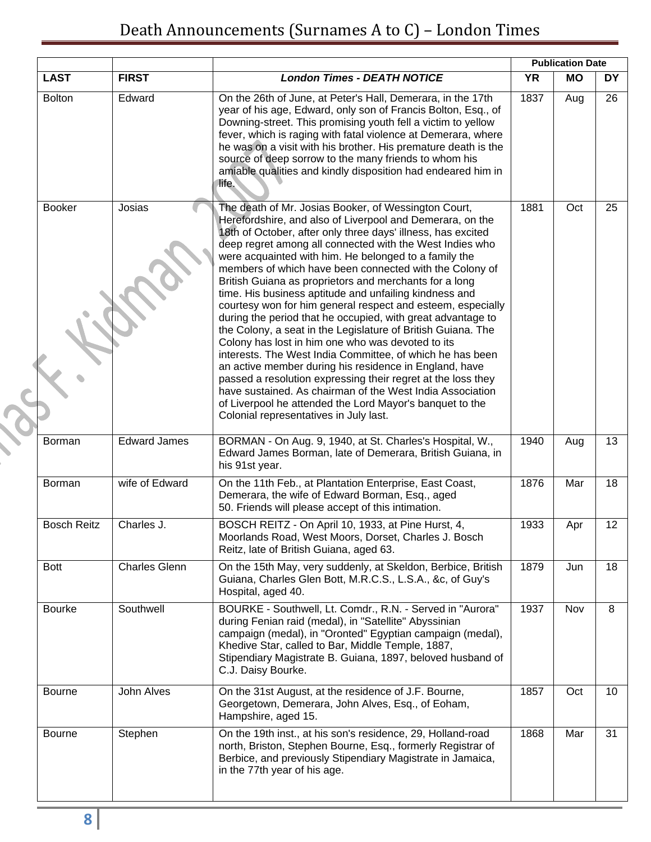|                    |                      |                                                                                                                                                                                                                                                                                                                                                                                                                                                                                                                                                                                                                                                                                                                                                                                                                                                                                                                                                                                                                                                                                                    |           | <b>Publication Date</b> |           |
|--------------------|----------------------|----------------------------------------------------------------------------------------------------------------------------------------------------------------------------------------------------------------------------------------------------------------------------------------------------------------------------------------------------------------------------------------------------------------------------------------------------------------------------------------------------------------------------------------------------------------------------------------------------------------------------------------------------------------------------------------------------------------------------------------------------------------------------------------------------------------------------------------------------------------------------------------------------------------------------------------------------------------------------------------------------------------------------------------------------------------------------------------------------|-----------|-------------------------|-----------|
| <b>LAST</b>        | <b>FIRST</b>         | <b>London Times - DEATH NOTICE</b>                                                                                                                                                                                                                                                                                                                                                                                                                                                                                                                                                                                                                                                                                                                                                                                                                                                                                                                                                                                                                                                                 | <b>YR</b> | <b>MO</b>               | <b>DY</b> |
| <b>Bolton</b>      | Edward               | On the 26th of June, at Peter's Hall, Demerara, in the 17th<br>year of his age, Edward, only son of Francis Bolton, Esq., of<br>Downing-street. This promising youth fell a victim to yellow<br>fever, which is raging with fatal violence at Demerara, where<br>he was on a visit with his brother. His premature death is the<br>source of deep sorrow to the many friends to whom his<br>amiable qualities and kindly disposition had endeared him in<br>life.                                                                                                                                                                                                                                                                                                                                                                                                                                                                                                                                                                                                                                  | 1837      | Aug                     | 26        |
| <b>Booker</b>      | Josias               | The death of Mr. Josias Booker, of Wessington Court,<br>Herefordshire, and also of Liverpool and Demerara, on the<br>18th of October, after only three days' illness, has excited<br>deep regret among all connected with the West Indies who<br>were acquainted with him. He belonged to a family the<br>members of which have been connected with the Colony of<br>British Guiana as proprietors and merchants for a long<br>time. His business aptitude and unfailing kindness and<br>courtesy won for him general respect and esteem, especially<br>during the period that he occupied, with great advantage to<br>the Colony, a seat in the Legislature of British Guiana. The<br>Colony has lost in him one who was devoted to its<br>interests. The West India Committee, of which he has been<br>an active member during his residence in England, have<br>passed a resolution expressing their regret at the loss they<br>have sustained. As chairman of the West India Association<br>of Liverpool he attended the Lord Mayor's banquet to the<br>Colonial representatives in July last. | 1881      | Oct                     | 25        |
| Borman             | <b>Edward James</b>  | BORMAN - On Aug. 9, 1940, at St. Charles's Hospital, W.,<br>Edward James Borman, late of Demerara, British Guiana, in<br>his 91st year.                                                                                                                                                                                                                                                                                                                                                                                                                                                                                                                                                                                                                                                                                                                                                                                                                                                                                                                                                            | 1940      | Aug                     | 13        |
| Borman             | wife of Edward       | On the 11th Feb., at Plantation Enterprise, East Coast,<br>Demerara, the wife of Edward Borman, Esq., aged<br>50. Friends will please accept of this intimation.                                                                                                                                                                                                                                                                                                                                                                                                                                                                                                                                                                                                                                                                                                                                                                                                                                                                                                                                   | 1876      | Mar                     | 18        |
| <b>Bosch Reitz</b> | Charles J.           | BOSCH REITZ - On April 10, 1933, at Pine Hurst, 4,<br>Moorlands Road, West Moors, Dorset, Charles J. Bosch<br>Reitz, late of British Guiana, aged 63.                                                                                                                                                                                                                                                                                                                                                                                                                                                                                                                                                                                                                                                                                                                                                                                                                                                                                                                                              | 1933      | Apr                     | 12        |
| <b>Bott</b>        | <b>Charles Glenn</b> | On the 15th May, very suddenly, at Skeldon, Berbice, British<br>Guiana, Charles Glen Bott, M.R.C.S., L.S.A., &c, of Guy's<br>Hospital, aged 40.                                                                                                                                                                                                                                                                                                                                                                                                                                                                                                                                                                                                                                                                                                                                                                                                                                                                                                                                                    | 1879      | Jun                     | 18        |
| <b>Bourke</b>      | Southwell            | BOURKE - Southwell, Lt. Comdr., R.N. - Served in "Aurora"<br>during Fenian raid (medal), in "Satellite" Abyssinian<br>campaign (medal), in "Oronted" Egyptian campaign (medal),<br>Khedive Star, called to Bar, Middle Temple, 1887,<br>Stipendiary Magistrate B. Guiana, 1897, beloved husband of<br>C.J. Daisy Bourke.                                                                                                                                                                                                                                                                                                                                                                                                                                                                                                                                                                                                                                                                                                                                                                           | 1937      | Nov                     | 8         |
| <b>Bourne</b>      | John Alves           | On the 31st August, at the residence of J.F. Bourne,<br>Georgetown, Demerara, John Alves, Esq., of Eoham,<br>Hampshire, aged 15.                                                                                                                                                                                                                                                                                                                                                                                                                                                                                                                                                                                                                                                                                                                                                                                                                                                                                                                                                                   | 1857      | Oct                     | 10        |
| Bourne             | Stephen              | On the 19th inst., at his son's residence, 29, Holland-road<br>north, Briston, Stephen Bourne, Esq., formerly Registrar of<br>Berbice, and previously Stipendiary Magistrate in Jamaica,<br>in the 77th year of his age.                                                                                                                                                                                                                                                                                                                                                                                                                                                                                                                                                                                                                                                                                                                                                                                                                                                                           | 1868      | Mar                     | 31        |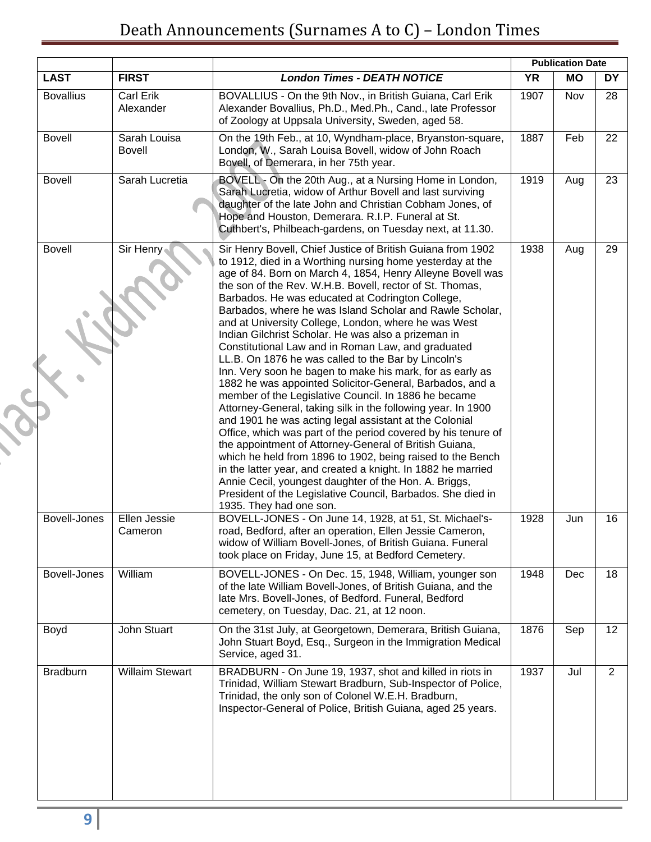|                     |                               |                                                                                                                                                                                                                                                                                                                                                                                                                                                                                                                                                                                                                                                                                                                                                                                                                                                                                                                                                                                                                                                                                                                                                                                                                                                                                                                       |           | <b>Publication Date</b> |                |
|---------------------|-------------------------------|-----------------------------------------------------------------------------------------------------------------------------------------------------------------------------------------------------------------------------------------------------------------------------------------------------------------------------------------------------------------------------------------------------------------------------------------------------------------------------------------------------------------------------------------------------------------------------------------------------------------------------------------------------------------------------------------------------------------------------------------------------------------------------------------------------------------------------------------------------------------------------------------------------------------------------------------------------------------------------------------------------------------------------------------------------------------------------------------------------------------------------------------------------------------------------------------------------------------------------------------------------------------------------------------------------------------------|-----------|-------------------------|----------------|
| <b>LAST</b>         | <b>FIRST</b>                  | <b>London Times - DEATH NOTICE</b>                                                                                                                                                                                                                                                                                                                                                                                                                                                                                                                                                                                                                                                                                                                                                                                                                                                                                                                                                                                                                                                                                                                                                                                                                                                                                    | <b>YR</b> | <b>MO</b>               | <b>DY</b>      |
| <b>Bovallius</b>    | Carl Erik<br>Alexander        | BOVALLIUS - On the 9th Nov., in British Guiana, Carl Erik<br>Alexander Bovallius, Ph.D., Med.Ph., Cand., late Professor<br>of Zoology at Uppsala University, Sweden, aged 58.                                                                                                                                                                                                                                                                                                                                                                                                                                                                                                                                                                                                                                                                                                                                                                                                                                                                                                                                                                                                                                                                                                                                         | 1907      | Nov                     | 28             |
| <b>Bovell</b>       | Sarah Louisa<br><b>Bovell</b> | On the 19th Feb., at 10, Wyndham-place, Bryanston-square,<br>London, W., Sarah Louisa Bovell, widow of John Roach<br>Bovell, of Demerara, in her 75th year.                                                                                                                                                                                                                                                                                                                                                                                                                                                                                                                                                                                                                                                                                                                                                                                                                                                                                                                                                                                                                                                                                                                                                           | 1887      | Feb                     | 22             |
| <b>Bovell</b>       | Sarah Lucretia                | BOVELL - On the 20th Aug., at a Nursing Home in London,<br>Sarah Lucretia, widow of Arthur Bovell and last surviving<br>daughter of the late John and Christian Cobham Jones, of<br>Hope and Houston, Demerara. R.I.P. Funeral at St.<br>Cuthbert's, Philbeach-gardens, on Tuesday next, at 11.30.                                                                                                                                                                                                                                                                                                                                                                                                                                                                                                                                                                                                                                                                                                                                                                                                                                                                                                                                                                                                                    | 1919      | Aug                     | 23             |
| <b>Bovell</b>       | Sir Henry                     | Sir Henry Bovell, Chief Justice of British Guiana from 1902<br>to 1912, died in a Worthing nursing home yesterday at the<br>age of 84. Born on March 4, 1854, Henry Alleyne Bovell was<br>the son of the Rev. W.H.B. Bovell, rector of St. Thomas,<br>Barbados. He was educated at Codrington College,<br>Barbados, where he was Island Scholar and Rawle Scholar,<br>and at University College, London, where he was West<br>Indian Gilchrist Scholar. He was also a prizeman in<br>Constitutional Law and in Roman Law, and graduated<br>LL.B. On 1876 he was called to the Bar by Lincoln's<br>Inn. Very soon he bagen to make his mark, for as early as<br>1882 he was appointed Solicitor-General, Barbados, and a<br>member of the Legislative Council. In 1886 he became<br>Attorney-General, taking silk in the following year. In 1900<br>and 1901 he was acting legal assistant at the Colonial<br>Office, which was part of the period covered by his tenure of<br>the appointment of Attorney-General of British Guiana,<br>which he held from 1896 to 1902, being raised to the Bench<br>in the latter year, and created a knight. In 1882 he married<br>Annie Cecil, youngest daughter of the Hon. A. Briggs,<br>President of the Legislative Council, Barbados. She died in<br>1935. They had one son. | 1938      | Aug                     | 29             |
| Bovell-Jones        | Ellen Jessie<br>Cameron       | BOVELL-JONES - On June 14, 1928, at 51, St. Michael's-<br>road, Bedford, after an operation, Ellen Jessie Cameron,<br>widow of William Bovell-Jones, of British Guiana. Funeral<br>took place on Friday, June 15, at Bedford Cemetery.                                                                                                                                                                                                                                                                                                                                                                                                                                                                                                                                                                                                                                                                                                                                                                                                                                                                                                                                                                                                                                                                                | 1928      | Jun                     | 16             |
| <b>Bovell-Jones</b> | William                       | BOVELL-JONES - On Dec. 15, 1948, William, younger son<br>of the late William Bovell-Jones, of British Guiana, and the<br>late Mrs. Bovell-Jones, of Bedford. Funeral, Bedford<br>cemetery, on Tuesday, Dac. 21, at 12 noon.                                                                                                                                                                                                                                                                                                                                                                                                                                                                                                                                                                                                                                                                                                                                                                                                                                                                                                                                                                                                                                                                                           | 1948      | Dec                     | 18             |
| Boyd                | John Stuart                   | On the 31st July, at Georgetown, Demerara, British Guiana,<br>John Stuart Boyd, Esq., Surgeon in the Immigration Medical<br>Service, aged 31.                                                                                                                                                                                                                                                                                                                                                                                                                                                                                                                                                                                                                                                                                                                                                                                                                                                                                                                                                                                                                                                                                                                                                                         | 1876      | Sep                     | 12             |
| <b>Bradburn</b>     | <b>Willaim Stewart</b>        | BRADBURN - On June 19, 1937, shot and killed in riots in<br>Trinidad, William Stewart Bradburn, Sub-Inspector of Police,<br>Trinidad, the only son of Colonel W.E.H. Bradburn,<br>Inspector-General of Police, British Guiana, aged 25 years.                                                                                                                                                                                                                                                                                                                                                                                                                                                                                                                                                                                                                                                                                                                                                                                                                                                                                                                                                                                                                                                                         | 1937      | Jul                     | $\overline{2}$ |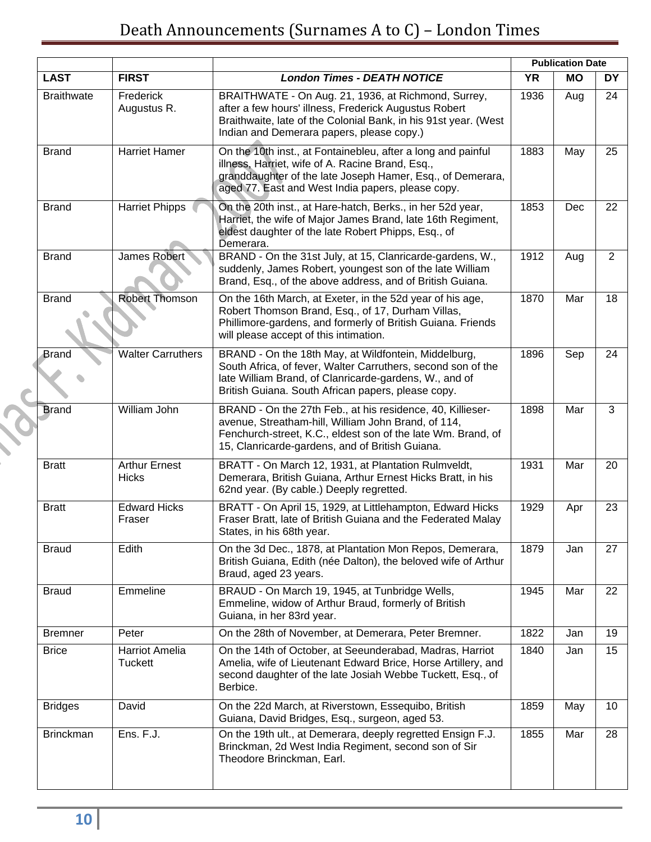|                   |                                         |                                                                                                                                                                                                                                      |           | <b>Publication Date</b> |           |
|-------------------|-----------------------------------------|--------------------------------------------------------------------------------------------------------------------------------------------------------------------------------------------------------------------------------------|-----------|-------------------------|-----------|
| <b>LAST</b>       | <b>FIRST</b>                            | <b>London Times - DEATH NOTICE</b>                                                                                                                                                                                                   | <b>YR</b> | <b>MO</b>               | <b>DY</b> |
| <b>Braithwate</b> | Frederick<br>Augustus R.                | BRAITHWATE - On Aug. 21, 1936, at Richmond, Surrey,<br>after a few hours' illness, Frederick Augustus Robert<br>Braithwaite, late of the Colonial Bank, in his 91st year. (West<br>Indian and Demerara papers, please copy.)         | 1936      | Aug                     | 24        |
| <b>Brand</b>      | <b>Harriet Hamer</b>                    | On the 10th inst., at Fontainebleu, after a long and painful<br>illness, Harriet, wife of A. Racine Brand, Esq.,<br>granddaughter of the late Joseph Hamer, Esq., of Demerara,<br>aged 77. East and West India papers, please copy.  | 1883      | May                     | 25        |
| <b>Brand</b>      | <b>Harriet Phipps</b>                   | On the 20th inst., at Hare-hatch, Berks., in her 52d year,<br>Harriet, the wife of Major James Brand, late 16th Regiment,<br>eldest daughter of the late Robert Phipps, Esq., of<br>Demerara.                                        | 1853      | Dec                     | 22        |
| <b>Brand</b>      | James Robert                            | BRAND - On the 31st July, at 15, Clanricarde-gardens, W.,<br>suddenly, James Robert, youngest son of the late William<br>Brand, Esq., of the above address, and of British Guiana.                                                   | 1912      | Aug                     | 2         |
| <b>Brand</b>      | <b>Robert Thomson</b>                   | On the 16th March, at Exeter, in the 52d year of his age,<br>Robert Thomson Brand, Esq., of 17, Durham Villas,<br>Phillimore-gardens, and formerly of British Guiana. Friends<br>will please accept of this intimation.              | 1870      | Mar                     | 18        |
| <b>Brand</b>      | <b>Walter Carruthers</b>                | BRAND - On the 18th May, at Wildfontein, Middelburg,<br>South Africa, of fever, Walter Carruthers, second son of the<br>late William Brand, of Clanricarde-gardens, W., and of<br>British Guiana. South African papers, please copy. | 1896      | Sep                     | 24        |
| <b>Brand</b>      | William John                            | BRAND - On the 27th Feb., at his residence, 40, Killieser-<br>avenue, Streatham-hill, William John Brand, of 114,<br>Fenchurch-street, K.C., eldest son of the late Wm. Brand, of<br>15, Clanricarde-gardens, and of British Guiana. | 1898      | Mar                     | 3         |
| <b>Bratt</b>      | <b>Arthur Ernest</b><br><b>Hicks</b>    | BRATT - On March 12, 1931, at Plantation Rulmveldt,<br>Demerara, British Guiana, Arthur Ernest Hicks Bratt, in his<br>62nd year. (By cable.) Deeply regretted.                                                                       | 1931      | Mar                     | 20        |
| <b>Bratt</b>      | <b>Edward Hicks</b><br>Fraser           | BRATT - On April 15, 1929, at Littlehampton, Edward Hicks<br>Fraser Bratt, late of British Guiana and the Federated Malay<br>States, in his 68th year.                                                                               | 1929      | Apr                     | 23        |
| <b>Braud</b>      | Edith                                   | On the 3d Dec., 1878, at Plantation Mon Repos, Demerara,<br>British Guiana, Edith (née Dalton), the beloved wife of Arthur<br>Braud, aged 23 years.                                                                                  | 1879      | Jan                     | 27        |
| <b>Braud</b>      | Emmeline                                | BRAUD - On March 19, 1945, at Tunbridge Wells,<br>Emmeline, widow of Arthur Braud, formerly of British<br>Guiana, in her 83rd year.                                                                                                  | 1945      | Mar                     | 22        |
| <b>Bremner</b>    | Peter                                   | On the 28th of November, at Demerara, Peter Bremner.                                                                                                                                                                                 | 1822      | Jan                     | 19        |
| <b>Brice</b>      | <b>Harriot Amelia</b><br><b>Tuckett</b> | On the 14th of October, at Seeunderabad, Madras, Harriot<br>Amelia, wife of Lieutenant Edward Brice, Horse Artillery, and<br>second daughter of the late Josiah Webbe Tuckett, Esq., of<br>Berbice.                                  | 1840      | Jan                     | 15        |
| <b>Bridges</b>    | David                                   | On the 22d March, at Riverstown, Essequibo, British<br>Guiana, David Bridges, Esq., surgeon, aged 53.                                                                                                                                | 1859      | May                     | 10        |
| <b>Brinckman</b>  | Ens. F.J.                               | On the 19th ult., at Demerara, deeply regretted Ensign F.J.<br>Brinckman, 2d West India Regiment, second son of Sir<br>Theodore Brinckman, Earl.                                                                                     | 1855      | Mar                     | 28        |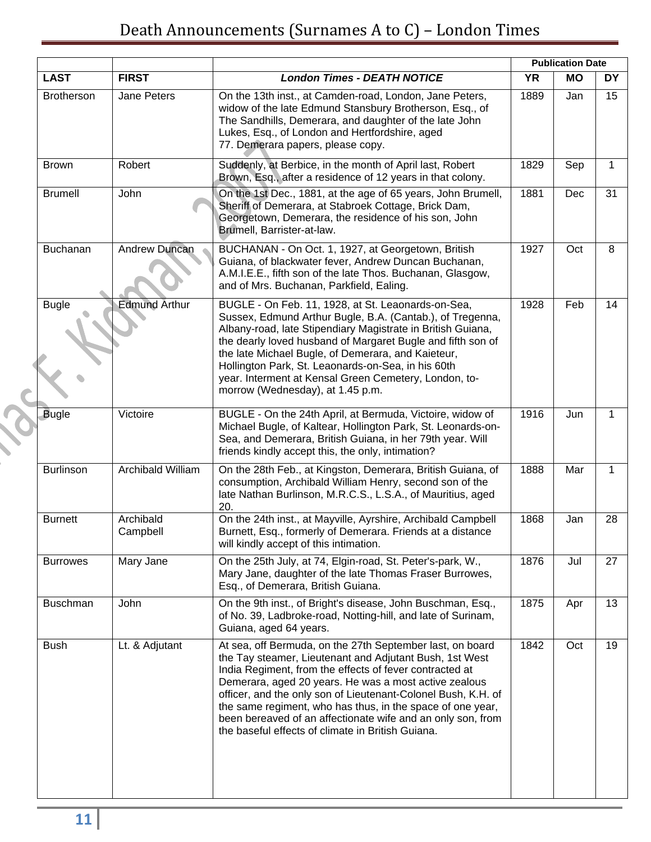|                   |                          |                                                                                                                                                                                                                                                                                                                                                                                                                                                                                             | <b>Publication Date</b> |           |     |
|-------------------|--------------------------|---------------------------------------------------------------------------------------------------------------------------------------------------------------------------------------------------------------------------------------------------------------------------------------------------------------------------------------------------------------------------------------------------------------------------------------------------------------------------------------------|-------------------------|-----------|-----|
| <b>LAST</b>       | <b>FIRST</b>             | <b>London Times - DEATH NOTICE</b>                                                                                                                                                                                                                                                                                                                                                                                                                                                          | <b>YR</b>               | <b>MO</b> | DY. |
| <b>Brotherson</b> | Jane Peters              | On the 13th inst., at Camden-road, London, Jane Peters,<br>widow of the late Edmund Stansbury Brotherson, Esq., of<br>The Sandhills, Demerara, and daughter of the late John<br>Lukes, Esq., of London and Hertfordshire, aged<br>77. Demerara papers, please copy.                                                                                                                                                                                                                         | 1889                    | Jan       | 15  |
| <b>Brown</b>      | Robert                   | Suddenly, at Berbice, in the month of April last, Robert<br>Brown, Esq., after a residence of 12 years in that colony.                                                                                                                                                                                                                                                                                                                                                                      | 1829                    | Sep       | 1   |
| <b>Brumell</b>    | John                     | On the 1st Dec., 1881, at the age of 65 years, John Brumell,<br>Sheriff of Demerara, at Stabroek Cottage, Brick Dam,<br>Georgetown, Demerara, the residence of his son, John<br>Brumell, Barrister-at-law.                                                                                                                                                                                                                                                                                  | 1881                    | Dec       | 31  |
| Buchanan          | Andrew Duncan            | BUCHANAN - On Oct. 1, 1927, at Georgetown, British<br>Guiana, of blackwater fever, Andrew Duncan Buchanan,<br>A.M.I.E.E., fifth son of the late Thos. Buchanan, Glasgow,<br>and of Mrs. Buchanan, Parkfield, Ealing.                                                                                                                                                                                                                                                                        | 1927                    | Oct       | 8   |
| <b>Bugle</b>      | <b>Edmund Arthur</b>     | BUGLE - On Feb. 11, 1928, at St. Leaonards-on-Sea,<br>Sussex, Edmund Arthur Bugle, B.A. (Cantab.), of Tregenna,<br>Albany-road, late Stipendiary Magistrate in British Guiana,<br>the dearly loved husband of Margaret Bugle and fifth son of<br>the late Michael Bugle, of Demerara, and Kaieteur,<br>Hollington Park, St. Leaonards-on-Sea, in his 60th<br>year. Interment at Kensal Green Cemetery, London, to-<br>morrow (Wednesday), at 1.45 p.m.                                      | 1928                    | Feb       | 14  |
| <b>Bugle</b>      | Victoire                 | BUGLE - On the 24th April, at Bermuda, Victoire, widow of<br>Michael Bugle, of Kaltear, Hollington Park, St. Leonards-on-<br>Sea, and Demerara, British Guiana, in her 79th year. Will<br>friends kindly accept this, the only, intimation?                                                                                                                                                                                                                                                 | 1916                    | Jun       | 1   |
| <b>Burlinson</b>  | <b>Archibald William</b> | On the 28th Feb., at Kingston, Demerara, British Guiana, of<br>consumption, Archibald William Henry, second son of the<br>late Nathan Burlinson, M.R.C.S., L.S.A., of Mauritius, aged<br>20.                                                                                                                                                                                                                                                                                                | 1888                    | Mar       | 1   |
| <b>Burnett</b>    | Archibald<br>Campbell    | On the 24th inst., at Mayville, Ayrshire, Archibald Campbell<br>Burnett, Esq., formerly of Demerara. Friends at a distance<br>will kindly accept of this intimation.                                                                                                                                                                                                                                                                                                                        | 1868                    | Jan       | 28  |
| <b>Burrowes</b>   | Mary Jane                | On the 25th July, at 74, Elgin-road, St. Peter's-park, W.,<br>Mary Jane, daughter of the late Thomas Fraser Burrowes,<br>Esq., of Demerara, British Guiana.                                                                                                                                                                                                                                                                                                                                 | 1876                    | Jul       | 27  |
| <b>Buschman</b>   | John                     | On the 9th inst., of Bright's disease, John Buschman, Esq.,<br>of No. 39, Ladbroke-road, Notting-hill, and late of Surinam,<br>Guiana, aged 64 years.                                                                                                                                                                                                                                                                                                                                       | 1875                    | Apr       | 13  |
| <b>Bush</b>       | Lt. & Adjutant           | At sea, off Bermuda, on the 27th September last, on board<br>the Tay steamer, Lieutenant and Adjutant Bush, 1st West<br>India Regiment, from the effects of fever contracted at<br>Demerara, aged 20 years. He was a most active zealous<br>officer, and the only son of Lieutenant-Colonel Bush, K.H. of<br>the same regiment, who has thus, in the space of one year,<br>been bereaved of an affectionate wife and an only son, from<br>the baseful effects of climate in British Guiana. | 1842                    | Oct       | 19  |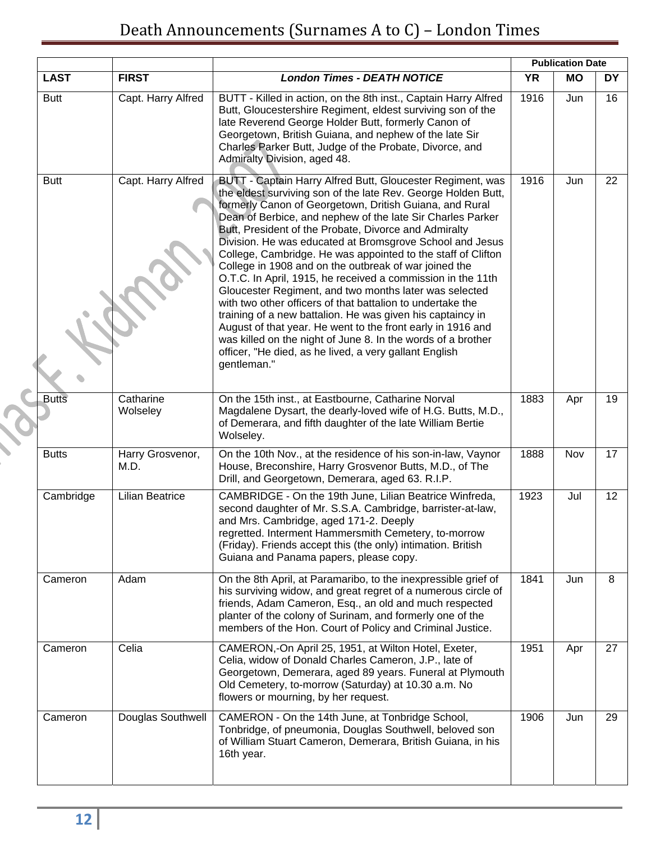|              |                          |                                                                                                                                                                                                                                                                                                                                                                                                                                                                                                                                                                                                                                                                                                                                                                                                                                                                                                                                                                 |           | <b>Publication Date</b> |           |
|--------------|--------------------------|-----------------------------------------------------------------------------------------------------------------------------------------------------------------------------------------------------------------------------------------------------------------------------------------------------------------------------------------------------------------------------------------------------------------------------------------------------------------------------------------------------------------------------------------------------------------------------------------------------------------------------------------------------------------------------------------------------------------------------------------------------------------------------------------------------------------------------------------------------------------------------------------------------------------------------------------------------------------|-----------|-------------------------|-----------|
| <b>LAST</b>  | <b>FIRST</b>             | <b>London Times - DEATH NOTICE</b>                                                                                                                                                                                                                                                                                                                                                                                                                                                                                                                                                                                                                                                                                                                                                                                                                                                                                                                              | <b>YR</b> | <b>MO</b>               | <b>DY</b> |
| <b>Butt</b>  | Capt. Harry Alfred       | BUTT - Killed in action, on the 8th inst., Captain Harry Alfred<br>Butt, Gloucestershire Regiment, eldest surviving son of the<br>late Reverend George Holder Butt, formerly Canon of<br>Georgetown, British Guiana, and nephew of the late Sir<br>Charles Parker Butt, Judge of the Probate, Divorce, and<br>Admiralty Division, aged 48.                                                                                                                                                                                                                                                                                                                                                                                                                                                                                                                                                                                                                      | 1916      | Jun                     | 16        |
| <b>Butt</b>  | Capt. Harry Alfred       | BUTT - Captain Harry Alfred Butt, Gloucester Regiment, was<br>the eldest surviving son of the late Rev. George Holden Butt,<br>formerly Canon of Georgetown, Dritish Guiana, and Rural<br>Dean of Berbice, and nephew of the late Sir Charles Parker<br>Butt, President of the Probate, Divorce and Admiralty<br>Division. He was educated at Bromsgrove School and Jesus<br>College, Cambridge. He was appointed to the staff of Clifton<br>College in 1908 and on the outbreak of war joined the<br>O.T.C. In April, 1915, he received a commission in the 11th<br>Gloucester Regiment, and two months later was selected<br>with two other officers of that battalion to undertake the<br>training of a new battalion. He was given his captaincy in<br>August of that year. He went to the front early in 1916 and<br>was killed on the night of June 8. In the words of a brother<br>officer, "He died, as he lived, a very gallant English<br>gentleman." | 1916      | Jun                     | 22        |
| <b>Butts</b> | Catharine<br>Wolseley    | On the 15th inst., at Eastbourne, Catharine Norval<br>Magdalene Dysart, the dearly-loved wife of H.G. Butts, M.D.,<br>of Demerara, and fifth daughter of the late William Bertie<br>Wolseley.                                                                                                                                                                                                                                                                                                                                                                                                                                                                                                                                                                                                                                                                                                                                                                   | 1883      | Apr                     | 19        |
| <b>Butts</b> | Harry Grosvenor,<br>M.D. | On the 10th Nov., at the residence of his son-in-law, Vaynor<br>House, Breconshire, Harry Grosvenor Butts, M.D., of The<br>Drill, and Georgetown, Demerara, aged 63. R.I.P.                                                                                                                                                                                                                                                                                                                                                                                                                                                                                                                                                                                                                                                                                                                                                                                     | 1888      | Nov                     | 17        |
| Cambridge    | <b>Lilian Beatrice</b>   | CAMBRIDGE - On the 19th June, Lilian Beatrice Winfreda,<br>second daughter of Mr. S.S.A. Cambridge, barrister-at-law,<br>and Mrs. Cambridge, aged 171-2. Deeply<br>regretted. Interment Hammersmith Cemetery, to-morrow<br>(Friday). Friends accept this (the only) intimation. British<br>Guiana and Panama papers, please copy.                                                                                                                                                                                                                                                                                                                                                                                                                                                                                                                                                                                                                               | 1923      | Jul                     | 12        |
| Cameron      | Adam                     | On the 8th April, at Paramaribo, to the inexpressible grief of<br>his surviving widow, and great regret of a numerous circle of<br>friends, Adam Cameron, Esq., an old and much respected<br>planter of the colony of Surinam, and formerly one of the<br>members of the Hon. Court of Policy and Criminal Justice.                                                                                                                                                                                                                                                                                                                                                                                                                                                                                                                                                                                                                                             | 1841      | Jun                     | 8         |
| Cameron      | Celia                    | CAMERON,-On April 25, 1951, at Wilton Hotel, Exeter,<br>Celia, widow of Donald Charles Cameron, J.P., late of<br>Georgetown, Demerara, aged 89 years. Funeral at Plymouth<br>Old Cemetery, to-morrow (Saturday) at 10.30 a.m. No<br>flowers or mourning, by her request.                                                                                                                                                                                                                                                                                                                                                                                                                                                                                                                                                                                                                                                                                        | 1951      | Apr                     | 27        |
| Cameron      | Douglas Southwell        | CAMERON - On the 14th June, at Tonbridge School,<br>Tonbridge, of pneumonia, Douglas Southwell, beloved son<br>of William Stuart Cameron, Demerara, British Guiana, in his<br>16th year.                                                                                                                                                                                                                                                                                                                                                                                                                                                                                                                                                                                                                                                                                                                                                                        | 1906      | Jun                     | 29        |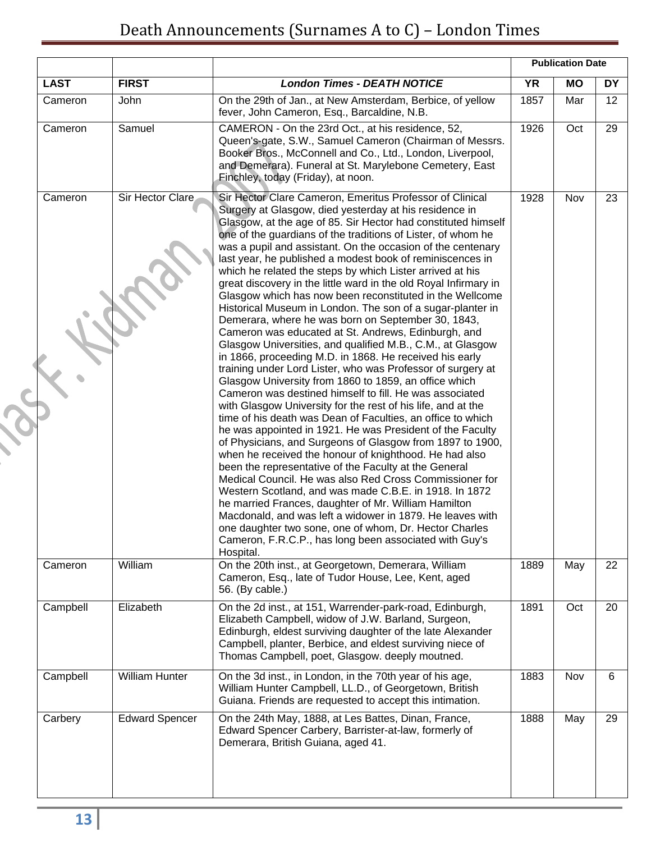## Death Announcements (Surnames A to C) – London Times

| <b>LAST</b> | <b>FIRST</b>          | <b>London Times - DEATH NOTICE</b>                                                                                                                                                                                                                                                                                                                                                                                                                                                                                                                                                                                                                                                                                                                                                                                                                                                                                                                                                                                                                                                                                                                                                                                                                                                                                                                                                                                                                                                                                                                                                                                                                                                                                                                                                                                         | <b>Publication Date</b> |           |                 |
|-------------|-----------------------|----------------------------------------------------------------------------------------------------------------------------------------------------------------------------------------------------------------------------------------------------------------------------------------------------------------------------------------------------------------------------------------------------------------------------------------------------------------------------------------------------------------------------------------------------------------------------------------------------------------------------------------------------------------------------------------------------------------------------------------------------------------------------------------------------------------------------------------------------------------------------------------------------------------------------------------------------------------------------------------------------------------------------------------------------------------------------------------------------------------------------------------------------------------------------------------------------------------------------------------------------------------------------------------------------------------------------------------------------------------------------------------------------------------------------------------------------------------------------------------------------------------------------------------------------------------------------------------------------------------------------------------------------------------------------------------------------------------------------------------------------------------------------------------------------------------------------|-------------------------|-----------|-----------------|
|             |                       |                                                                                                                                                                                                                                                                                                                                                                                                                                                                                                                                                                                                                                                                                                                                                                                                                                                                                                                                                                                                                                                                                                                                                                                                                                                                                                                                                                                                                                                                                                                                                                                                                                                                                                                                                                                                                            | <b>YR</b>               | <b>MO</b> | <b>DY</b>       |
| Cameron     | John                  | On the 29th of Jan., at New Amsterdam, Berbice, of yellow<br>fever, John Cameron, Esq., Barcaldine, N.B.                                                                                                                                                                                                                                                                                                                                                                                                                                                                                                                                                                                                                                                                                                                                                                                                                                                                                                                                                                                                                                                                                                                                                                                                                                                                                                                                                                                                                                                                                                                                                                                                                                                                                                                   | 1857                    | Mar       | 12 <sup>°</sup> |
| Cameron     | Samuel                | CAMERON - On the 23rd Oct., at his residence, 52,<br>Queen's-gate, S.W., Samuel Cameron (Chairman of Messrs.<br>Booker Bros., McConnell and Co., Ltd., London, Liverpool,<br>and Demerara). Funeral at St. Marylebone Cemetery, East<br>Finchley, today (Friday), at noon.                                                                                                                                                                                                                                                                                                                                                                                                                                                                                                                                                                                                                                                                                                                                                                                                                                                                                                                                                                                                                                                                                                                                                                                                                                                                                                                                                                                                                                                                                                                                                 | 1926                    | Oct       | 29              |
| Cameron     | Sir Hector Clare      | Sir Hector Clare Cameron, Emeritus Professor of Clinical<br>Surgery at Glasgow, died yesterday at his residence in<br>Glasgow, at the age of 85. Sir Hector had constituted himself<br>one of the guardians of the traditions of Lister, of whom he<br>was a pupil and assistant. On the occasion of the centenary<br>last year, he published a modest book of reminiscences in<br>which he related the steps by which Lister arrived at his<br>great discovery in the little ward in the old Royal Infirmary in<br>Glasgow which has now been reconstituted in the Wellcome<br>Historical Museum in London. The son of a sugar-planter in<br>Demerara, where he was born on September 30, 1843,<br>Cameron was educated at St. Andrews, Edinburgh, and<br>Glasgow Universities, and qualified M.B., C.M., at Glasgow<br>in 1866, proceeding M.D. in 1868. He received his early<br>training under Lord Lister, who was Professor of surgery at<br>Glasgow University from 1860 to 1859, an office which<br>Cameron was destined himself to fill. He was associated<br>with Glasgow University for the rest of his life, and at the<br>time of his death was Dean of Faculties, an office to which<br>he was appointed in 1921. He was President of the Faculty<br>of Physicians, and Surgeons of Glasgow from 1897 to 1900,<br>when he received the honour of knighthood. He had also<br>been the representative of the Faculty at the General<br>Medical Council. He was also Red Cross Commissioner for<br>Western Scotland, and was made C.B.E. in 1918. In 1872<br>he married Frances, daughter of Mr. William Hamilton<br>Macdonald, and was left a widower in 1879. He leaves with<br>one daughter two sone, one of whom, Dr. Hector Charles<br>Cameron, F.R.C.P., has long been associated with Guy's<br>Hospital. | 1928                    | Nov       | 23              |
| Cameron     | William               | On the 20th inst., at Georgetown, Demerara, William<br>Cameron, Esq., late of Tudor House, Lee, Kent, aged<br>56. (By cable.)                                                                                                                                                                                                                                                                                                                                                                                                                                                                                                                                                                                                                                                                                                                                                                                                                                                                                                                                                                                                                                                                                                                                                                                                                                                                                                                                                                                                                                                                                                                                                                                                                                                                                              | 1889                    | May       | 22              |
| Campbell    | Elizabeth             | On the 2d inst., at 151, Warrender-park-road, Edinburgh,<br>Elizabeth Campbell, widow of J.W. Barland, Surgeon,<br>Edinburgh, eldest surviving daughter of the late Alexander<br>Campbell, planter, Berbice, and eldest surviving niece of<br>Thomas Campbell, poet, Glasgow. deeply moutned.                                                                                                                                                                                                                                                                                                                                                                                                                                                                                                                                                                                                                                                                                                                                                                                                                                                                                                                                                                                                                                                                                                                                                                                                                                                                                                                                                                                                                                                                                                                              | 1891                    | Oct       | 20              |
| Campbell    | <b>William Hunter</b> | On the 3d inst., in London, in the 70th year of his age,<br>William Hunter Campbell, LL.D., of Georgetown, British<br>Guiana. Friends are requested to accept this intimation.                                                                                                                                                                                                                                                                                                                                                                                                                                                                                                                                                                                                                                                                                                                                                                                                                                                                                                                                                                                                                                                                                                                                                                                                                                                                                                                                                                                                                                                                                                                                                                                                                                             | 1883                    | Nov       | 6               |
| Carbery     | <b>Edward Spencer</b> | On the 24th May, 1888, at Les Battes, Dinan, France,<br>Edward Spencer Carbery, Barrister-at-law, formerly of<br>Demerara, British Guiana, aged 41.                                                                                                                                                                                                                                                                                                                                                                                                                                                                                                                                                                                                                                                                                                                                                                                                                                                                                                                                                                                                                                                                                                                                                                                                                                                                                                                                                                                                                                                                                                                                                                                                                                                                        | 1888                    | May       | 29              |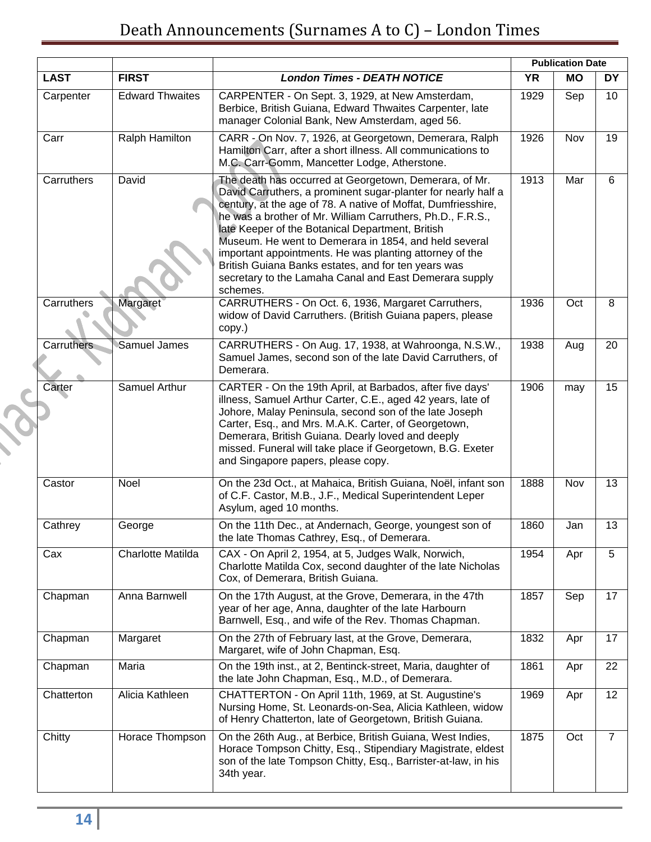|                   |                        |                                                                                                                                                                                                                                                                                                                                                                                                                                                                                                                                                             | <b>Publication Date</b> |           |                 |  |
|-------------------|------------------------|-------------------------------------------------------------------------------------------------------------------------------------------------------------------------------------------------------------------------------------------------------------------------------------------------------------------------------------------------------------------------------------------------------------------------------------------------------------------------------------------------------------------------------------------------------------|-------------------------|-----------|-----------------|--|
| <b>LAST</b>       | <b>FIRST</b>           | <b>London Times - DEATH NOTICE</b>                                                                                                                                                                                                                                                                                                                                                                                                                                                                                                                          | <b>YR</b>               | <b>MO</b> | <b>DY</b>       |  |
| Carpenter         | <b>Edward Thwaites</b> | CARPENTER - On Sept. 3, 1929, at New Amsterdam,<br>Berbice, British Guiana, Edward Thwaites Carpenter, late<br>manager Colonial Bank, New Amsterdam, aged 56.                                                                                                                                                                                                                                                                                                                                                                                               | 1929                    | Sep       | 10 <sup>°</sup> |  |
| Carr              | Ralph Hamilton         | CARR - On Nov. 7, 1926, at Georgetown, Demerara, Ralph<br>Hamilton Carr, after a short illness. All communications to<br>M.C. Carr-Gomm, Mancetter Lodge, Atherstone.                                                                                                                                                                                                                                                                                                                                                                                       | 1926                    | Nov       | 19              |  |
| Carruthers        | David                  | The death has occurred at Georgetown, Demerara, of Mr.<br>David Carruthers, a prominent sugar-planter for nearly half a<br>century, at the age of 78. A native of Moffat, Dumfriesshire,<br>he was a brother of Mr. William Carruthers, Ph.D., F.R.S.,<br>late Keeper of the Botanical Department, British<br>Museum. He went to Demerara in 1854, and held several<br>important appointments. He was planting attorney of the<br>British Guiana Banks estates, and for ten years was<br>secretary to the Lamaha Canal and East Demerara supply<br>schemes. | 1913                    | Mar       | 6               |  |
| Carruthers        | Margaret               | CARRUTHERS - On Oct. 6, 1936, Margaret Carruthers,<br>widow of David Carruthers. (British Guiana papers, please<br>copy.)                                                                                                                                                                                                                                                                                                                                                                                                                                   | 1936                    | Oct       | 8               |  |
| <b>Carruthers</b> | <b>Samuel James</b>    | CARRUTHERS - On Aug. 17, 1938, at Wahroonga, N.S.W.,<br>Samuel James, second son of the late David Carruthers, of<br>Demerara.                                                                                                                                                                                                                                                                                                                                                                                                                              | 1938                    | Aug       | 20              |  |
| Carter            | Samuel Arthur          | CARTER - On the 19th April, at Barbados, after five days'<br>illness, Samuel Arthur Carter, C.E., aged 42 years, late of<br>Johore, Malay Peninsula, second son of the late Joseph<br>Carter, Esq., and Mrs. M.A.K. Carter, of Georgetown,<br>Demerara, British Guiana. Dearly loved and deeply<br>missed. Funeral will take place if Georgetown, B.G. Exeter<br>and Singapore papers, please copy.                                                                                                                                                         | 1906                    | may       | 15              |  |
| Castor            | Noel                   | On the 23d Oct., at Mahaica, British Guiana, Noël, infant son<br>of C.F. Castor, M.B., J.F., Medical Superintendent Leper<br>Asylum, aged 10 months.                                                                                                                                                                                                                                                                                                                                                                                                        | 1888                    | Nov       | 13              |  |
| Cathrey           | George                 | On the 11th Dec., at Andernach, George, youngest son of<br>the late Thomas Cathrey, Esq., of Demerara.                                                                                                                                                                                                                                                                                                                                                                                                                                                      | 1860                    | Jan       | 13              |  |
| Cax               | Charlotte Matilda      | CAX - On April 2, 1954, at 5, Judges Walk, Norwich,<br>Charlotte Matilda Cox, second daughter of the late Nicholas<br>Cox, of Demerara, British Guiana.                                                                                                                                                                                                                                                                                                                                                                                                     | 1954                    | Apr       | 5               |  |
| Chapman           | Anna Barnwell          | On the 17th August, at the Grove, Demerara, in the 47th<br>year of her age, Anna, daughter of the late Harbourn<br>Barnwell, Esq., and wife of the Rev. Thomas Chapman.                                                                                                                                                                                                                                                                                                                                                                                     | 1857                    | Sep       | 17              |  |
| Chapman           | Margaret               | On the 27th of February last, at the Grove, Demerara,<br>Margaret, wife of John Chapman, Esq.                                                                                                                                                                                                                                                                                                                                                                                                                                                               | 1832                    | Apr       | 17              |  |
| Chapman           | Maria                  | On the 19th inst., at 2, Bentinck-street, Maria, daughter of<br>the late John Chapman, Esq., M.D., of Demerara.                                                                                                                                                                                                                                                                                                                                                                                                                                             | 1861                    | Apr       | 22              |  |
| Chatterton        | Alicia Kathleen        | CHATTERTON - On April 11th, 1969, at St. Augustine's<br>Nursing Home, St. Leonards-on-Sea, Alicia Kathleen, widow<br>of Henry Chatterton, late of Georgetown, British Guiana.                                                                                                                                                                                                                                                                                                                                                                               | 1969                    | Apr       | 12              |  |
| Chitty            | Horace Thompson        | On the 26th Aug., at Berbice, British Guiana, West Indies,<br>Horace Tompson Chitty, Esq., Stipendiary Magistrate, eldest<br>son of the late Tompson Chitty, Esq., Barrister-at-law, in his<br>34th year.                                                                                                                                                                                                                                                                                                                                                   | 1875                    | Oct       | $\overline{7}$  |  |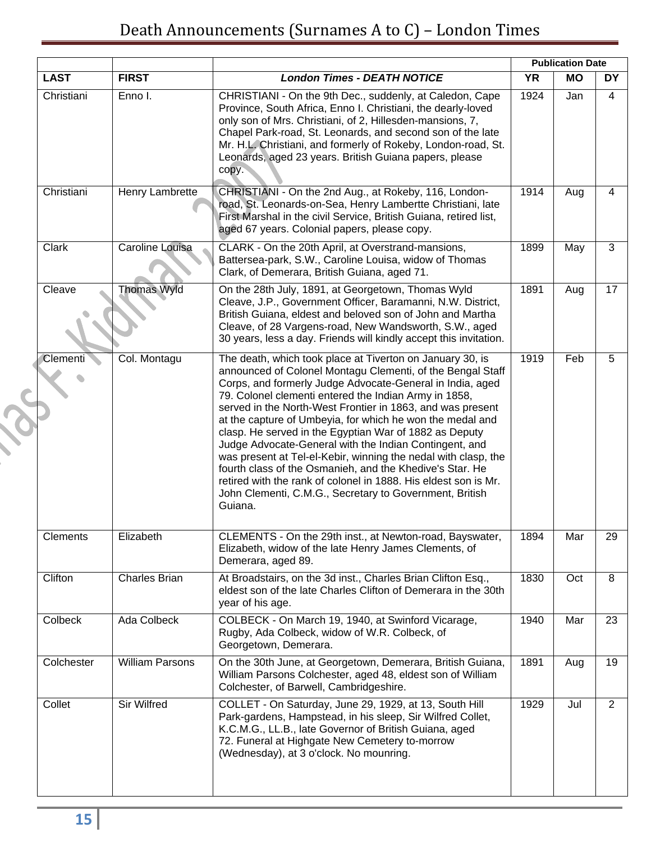|                 |                        |                                                                                                                                                                                                                                                                                                                                                                                                                                                                                                                                                                                                                                                                                                                                                                     |           | <b>Publication Date</b> |           |
|-----------------|------------------------|---------------------------------------------------------------------------------------------------------------------------------------------------------------------------------------------------------------------------------------------------------------------------------------------------------------------------------------------------------------------------------------------------------------------------------------------------------------------------------------------------------------------------------------------------------------------------------------------------------------------------------------------------------------------------------------------------------------------------------------------------------------------|-----------|-------------------------|-----------|
| <b>LAST</b>     | <b>FIRST</b>           | <b>London Times - DEATH NOTICE</b>                                                                                                                                                                                                                                                                                                                                                                                                                                                                                                                                                                                                                                                                                                                                  | <b>YR</b> | <b>MO</b>               | <b>DY</b> |
| Christiani      | Enno I.                | CHRISTIANI - On the 9th Dec., suddenly, at Caledon, Cape<br>Province, South Africa, Enno I. Christiani, the dearly-loved<br>only son of Mrs. Christiani, of 2, Hillesden-mansions, 7,<br>Chapel Park-road, St. Leonards, and second son of the late<br>Mr. H.L. Christiani, and formerly of Rokeby, London-road, St.<br>Leonards, aged 23 years. British Guiana papers, please<br>copy.                                                                                                                                                                                                                                                                                                                                                                             | 1924      | Jan                     | 4         |
| Christiani      | Henry Lambrette        | CHRISTIANI - On the 2nd Aug., at Rokeby, 116, London-<br>road, St. Leonards-on-Sea, Henry Lambertte Christiani, late<br>First Marshal in the civil Service, British Guiana, retired list,<br>aged 67 years. Colonial papers, please copy.                                                                                                                                                                                                                                                                                                                                                                                                                                                                                                                           | 1914      | Aug                     | 4         |
| Clark           | Caroline Louisa        | CLARK - On the 20th April, at Overstrand-mansions,<br>Battersea-park, S.W., Caroline Louisa, widow of Thomas<br>Clark, of Demerara, British Guiana, aged 71.                                                                                                                                                                                                                                                                                                                                                                                                                                                                                                                                                                                                        | 1899      | May                     | 3         |
| Cleave          | <b>Thomas Wyld</b>     | On the 28th July, 1891, at Georgetown, Thomas Wyld<br>Cleave, J.P., Government Officer, Baramanni, N.W. District,<br>British Guiana, eldest and beloved son of John and Martha<br>Cleave, of 28 Vargens-road, New Wandsworth, S.W., aged<br>30 years, less a day. Friends will kindly accept this invitation.                                                                                                                                                                                                                                                                                                                                                                                                                                                       | 1891      | Aug                     | 17        |
| <b>Clementi</b> | Col. Montagu           | The death, which took place at Tiverton on January 30, is<br>announced of Colonel Montagu Clementi, of the Bengal Staff<br>Corps, and formerly Judge Advocate-General in India, aged<br>79. Colonel clementi entered the Indian Army in 1858,<br>served in the North-West Frontier in 1863, and was present<br>at the capture of Umbeyia, for which he won the medal and<br>clasp. He served in the Egyptian War of 1882 as Deputy<br>Judge Advocate-General with the Indian Contingent, and<br>was present at Tel-el-Kebir, winning the nedal with clasp, the<br>fourth class of the Osmanieh, and the Khedive's Star. He<br>retired with the rank of colonel in 1888. His eldest son is Mr.<br>John Clementi, C.M.G., Secretary to Government, British<br>Guiana. | 1919      | Feb                     | 5         |
| <b>Clements</b> | Elizabeth              | CLEMENTS - On the 29th inst., at Newton-road, Bayswater,<br>Elizabeth, widow of the late Henry James Clements, of<br>Demerara, aged 89.                                                                                                                                                                                                                                                                                                                                                                                                                                                                                                                                                                                                                             | 1894      | Mar                     | 29        |
| Clifton         | <b>Charles Brian</b>   | At Broadstairs, on the 3d inst., Charles Brian Clifton Esq.,<br>eldest son of the late Charles Clifton of Demerara in the 30th<br>year of his age.                                                                                                                                                                                                                                                                                                                                                                                                                                                                                                                                                                                                                  | 1830      | Oct                     | 8         |
| Colbeck         | Ada Colbeck            | COLBECK - On March 19, 1940, at Swinford Vicarage,<br>Rugby, Ada Colbeck, widow of W.R. Colbeck, of<br>Georgetown, Demerara.                                                                                                                                                                                                                                                                                                                                                                                                                                                                                                                                                                                                                                        | 1940      | Mar                     | 23        |
| Colchester      | <b>William Parsons</b> | On the 30th June, at Georgetown, Demerara, British Guiana,<br>William Parsons Colchester, aged 48, eldest son of William<br>Colchester, of Barwell, Cambridgeshire.                                                                                                                                                                                                                                                                                                                                                                                                                                                                                                                                                                                                 | 1891      | Aug                     | 19        |
| Collet          | Sir Wilfred            | COLLET - On Saturday, June 29, 1929, at 13, South Hill<br>Park-gardens, Hampstead, in his sleep, Sir Wilfred Collet,<br>K.C.M.G., LL.B., late Governor of British Guiana, aged<br>72. Funeral at Highgate New Cemetery to-morrow<br>(Wednesday), at 3 o'clock. No mounring.                                                                                                                                                                                                                                                                                                                                                                                                                                                                                         | 1929      | Jul                     | 2         |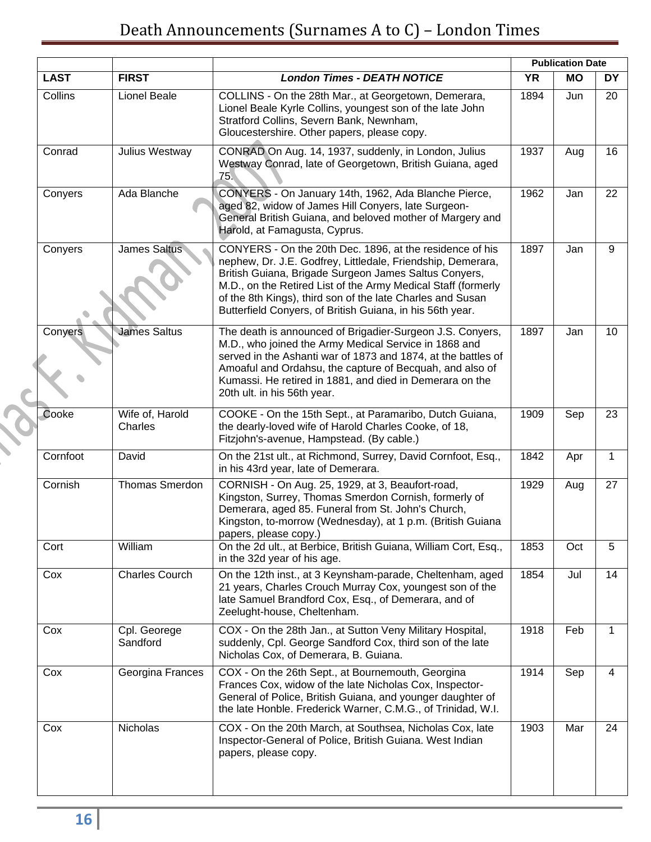|             |                            |                                                                                                                                                                                                                                                                                                                                                                              | <b>Publication Date</b> |                           |                 |
|-------------|----------------------------|------------------------------------------------------------------------------------------------------------------------------------------------------------------------------------------------------------------------------------------------------------------------------------------------------------------------------------------------------------------------------|-------------------------|---------------------------|-----------------|
| <b>LAST</b> | <b>FIRST</b>               | <b>London Times - DEATH NOTICE</b>                                                                                                                                                                                                                                                                                                                                           | <b>YR</b>               | <b>MO</b>                 | DY              |
| Collins     | Lionel Beale               | COLLINS - On the 28th Mar., at Georgetown, Demerara,<br>Lionel Beale Kyrle Collins, youngest son of the late John<br>Stratford Collins, Severn Bank, Newnham,<br>Gloucestershire. Other papers, please copy.                                                                                                                                                                 | 1894                    | Jun                       | 20              |
| Conrad      | Julius Westway             | CONRAD On Aug. 14, 1937, suddenly, in London, Julius<br>Westway Conrad, late of Georgetown, British Guiana, aged<br>75.                                                                                                                                                                                                                                                      | 1937                    | Aug                       | 16              |
| Conyers     | Ada Blanche                | CONYERS - On January 14th, 1962, Ada Blanche Pierce,<br>aged 82, widow of James Hill Conyers, late Surgeon-<br>General British Guiana, and beloved mother of Margery and<br>Harold, at Famagusta, Cyprus.                                                                                                                                                                    | 1962                    | Jan                       | 22              |
| Conyers     | <b>James Saltus</b>        | CONYERS - On the 20th Dec. 1896, at the residence of his<br>nephew, Dr. J.E. Godfrey, Littledale, Friendship, Demerara,<br>British Guiana, Brigade Surgeon James Saltus Conyers,<br>M.D., on the Retired List of the Army Medical Staff (formerly<br>of the 8th Kings), third son of the late Charles and Susan<br>Butterfield Conyers, of British Guiana, in his 56th year. | 1897                    | Jan                       | 9               |
| Conyers     | <b>James Saltus</b>        | The death is announced of Brigadier-Surgeon J.S. Conyers,<br>M.D., who joined the Army Medical Service in 1868 and<br>served in the Ashanti war of 1873 and 1874, at the battles of<br>Amoaful and Ordahsu, the capture of Becquah, and also of<br>Kumassi. He retired in 1881, and died in Demerara on the<br>20th ult. in his 56th year.                                   | 1897                    | Jan                       | 10 <sup>1</sup> |
| Cooke       | Wife of, Harold<br>Charles | COOKE - On the 15th Sept., at Paramaribo, Dutch Guiana,<br>the dearly-loved wife of Harold Charles Cooke, of 18,<br>Fitzjohn's-avenue, Hampstead. (By cable.)                                                                                                                                                                                                                | 1909                    | Sep                       | 23              |
| Cornfoot    | David                      | On the 21st ult., at Richmond, Surrey, David Cornfoot, Esq.,<br>in his 43rd year, late of Demerara.                                                                                                                                                                                                                                                                          | 1842                    | Apr                       | 1               |
| Cornish     | <b>Thomas Smerdon</b>      | CORNISH - On Aug. 25, 1929, at 3, Beaufort-road,<br>Kingston, Surrey, Thomas Smerdon Cornish, formerly of<br>Demerara, aged 85. Funeral from St. John's Church,<br>Kingston, to-morrow (Wednesday), at 1 p.m. (British Guiana<br>papers, please copy.)                                                                                                                       | 1929                    | Aug                       | 27              |
| Cort        | William                    | On the 2d ult., at Berbice, British Guiana, William Cort, Esq.,<br>in the 32d year of his age.                                                                                                                                                                                                                                                                               | 1853                    | Oct                       | 5               |
| Cox         | <b>Charles Courch</b>      | On the 12th inst., at 3 Keynsham-parade, Cheltenham, aged<br>21 years, Charles Crouch Murray Cox, youngest son of the<br>late Samuel Brandford Cox, Esq., of Demerara, and of<br>Zeelught-house, Cheltenham.                                                                                                                                                                 | 1854                    | Jul                       | 14              |
| Cox         | Cpl. Georege<br>Sandford   | COX - On the 28th Jan., at Sutton Veny Military Hospital,<br>suddenly, Cpl. George Sandford Cox, third son of the late<br>Nicholas Cox, of Demerara, B. Guiana.                                                                                                                                                                                                              | 1918                    | Feb                       | 1               |
| Cox         | Georgina Frances           | COX - On the 26th Sept., at Bournemouth, Georgina<br>Frances Cox, widow of the late Nicholas Cox, Inspector-<br>General of Police, British Guiana, and younger daughter of<br>the late Honble. Frederick Warner, C.M.G., of Trinidad, W.I.                                                                                                                                   | 1914                    | $\overline{\mathsf{Sep}}$ | $\overline{4}$  |
| Cox         | Nicholas                   | COX - On the 20th March, at Southsea, Nicholas Cox, late<br>Inspector-General of Police, British Guiana. West Indian<br>papers, please copy.                                                                                                                                                                                                                                 | 1903                    | Mar                       | 24              |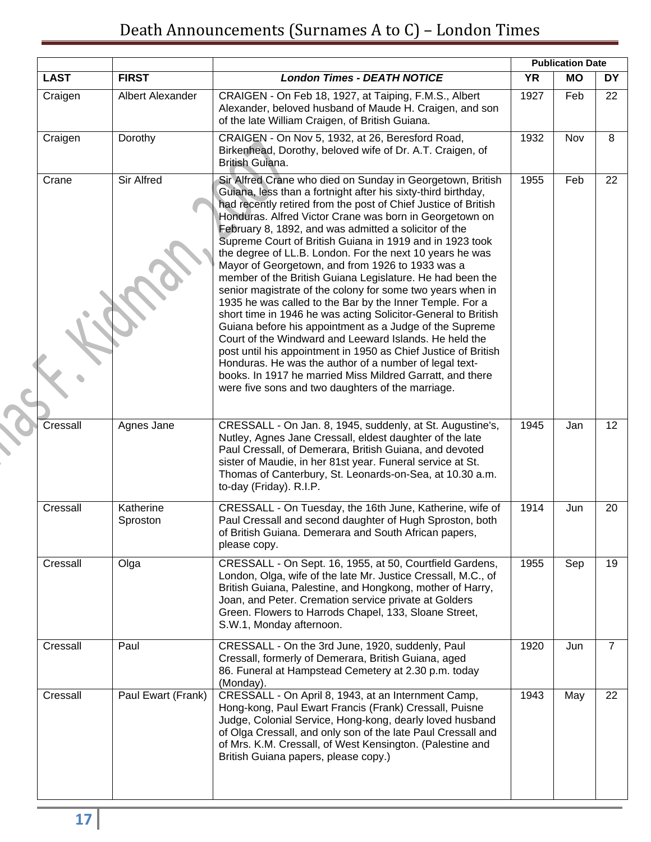|             |                       |                                                                                                                                                                                                                                                                                                                                                                                                                                                                                                                                                                                                                                                                                                                                                                                                                                                                                                                                                                                                                                                                                                                          |           | <b>Publication Date</b> |                 |
|-------------|-----------------------|--------------------------------------------------------------------------------------------------------------------------------------------------------------------------------------------------------------------------------------------------------------------------------------------------------------------------------------------------------------------------------------------------------------------------------------------------------------------------------------------------------------------------------------------------------------------------------------------------------------------------------------------------------------------------------------------------------------------------------------------------------------------------------------------------------------------------------------------------------------------------------------------------------------------------------------------------------------------------------------------------------------------------------------------------------------------------------------------------------------------------|-----------|-------------------------|-----------------|
| <b>LAST</b> | <b>FIRST</b>          | <b>London Times - DEATH NOTICE</b>                                                                                                                                                                                                                                                                                                                                                                                                                                                                                                                                                                                                                                                                                                                                                                                                                                                                                                                                                                                                                                                                                       | <b>YR</b> | <b>MO</b>               | <b>DY</b>       |
| Craigen     | Albert Alexander      | CRAIGEN - On Feb 18, 1927, at Taiping, F.M.S., Albert<br>Alexander, beloved husband of Maude H. Craigen, and son<br>of the late William Craigen, of British Guiana.                                                                                                                                                                                                                                                                                                                                                                                                                                                                                                                                                                                                                                                                                                                                                                                                                                                                                                                                                      | 1927      | Feb                     | 22              |
| Craigen     | Dorothy               | CRAIGEN - On Nov 5, 1932, at 26, Beresford Road,<br>Birkenhead, Dorothy, beloved wife of Dr. A.T. Craigen, of<br>British Guiana.                                                                                                                                                                                                                                                                                                                                                                                                                                                                                                                                                                                                                                                                                                                                                                                                                                                                                                                                                                                         | 1932      | Nov                     | 8               |
| Crane       | <b>Sir Alfred</b>     | Sir Alfred Crane who died on Sunday in Georgetown, British<br>Guiana, less than a fortnight after his sixty-third birthday,<br>had recently retired from the post of Chief Justice of British<br>Honduras. Alfred Victor Crane was born in Georgetown on<br>February 8, 1892, and was admitted a solicitor of the<br>Supreme Court of British Guiana in 1919 and in 1923 took<br>the degree of LL.B. London. For the next 10 years he was<br>Mayor of Georgetown, and from 1926 to 1933 was a<br>member of the British Guiana Legislature. He had been the<br>senior magistrate of the colony for some two years when in<br>1935 he was called to the Bar by the Inner Temple. For a<br>short time in 1946 he was acting Solicitor-General to British<br>Guiana before his appointment as a Judge of the Supreme<br>Court of the Windward and Leeward Islands. He held the<br>post until his appointment in 1950 as Chief Justice of British<br>Honduras. He was the author of a number of legal text-<br>books. In 1917 he married Miss Mildred Garratt, and there<br>were five sons and two daughters of the marriage. | 1955      | Feb                     | 22              |
| Cressall    | Agnes Jane            | CRESSALL - On Jan. 8, 1945, suddenly, at St. Augustine's,<br>Nutley, Agnes Jane Cressall, eldest daughter of the late<br>Paul Cressall, of Demerara, British Guiana, and devoted<br>sister of Maudie, in her 81st year. Funeral service at St.<br>Thomas of Canterbury, St. Leonards-on-Sea, at 10.30 a.m.<br>to-day (Friday). R.I.P.                                                                                                                                                                                                                                                                                                                                                                                                                                                                                                                                                                                                                                                                                                                                                                                    | 1945      | Jan                     | 12 <sup>°</sup> |
| Cressall    | Katherine<br>Sproston | CRESSALL - On Tuesday, the 16th June, Katherine, wife of<br>Paul Cressall and second daughter of Hugh Sproston, both<br>of British Guiana. Demerara and South African papers,<br>please copy.                                                                                                                                                                                                                                                                                                                                                                                                                                                                                                                                                                                                                                                                                                                                                                                                                                                                                                                            | 1914      | Jun                     | 20              |
| Cressall    | Olga                  | CRESSALL - On Sept. 16, 1955, at 50, Courtfield Gardens,<br>London, Olga, wife of the late Mr. Justice Cressall, M.C., of<br>British Guiana, Palestine, and Hongkong, mother of Harry,<br>Joan, and Peter. Cremation service private at Golders<br>Green. Flowers to Harrods Chapel, 133, Sloane Street,<br>S.W.1, Monday afternoon.                                                                                                                                                                                                                                                                                                                                                                                                                                                                                                                                                                                                                                                                                                                                                                                     | 1955      | Sep                     | 19              |
| Cressall    | Paul                  | CRESSALL - On the 3rd June, 1920, suddenly, Paul<br>Cressall, formerly of Demerara, British Guiana, aged<br>86. Funeral at Hampstead Cemetery at 2.30 p.m. today<br>(Monday).                                                                                                                                                                                                                                                                                                                                                                                                                                                                                                                                                                                                                                                                                                                                                                                                                                                                                                                                            | 1920      | Jun                     | $\overline{7}$  |
| Cressall    | Paul Ewart (Frank)    | CRESSALL - On April 8, 1943, at an Internment Camp,<br>Hong-kong, Paul Ewart Francis (Frank) Cressall, Puisne<br>Judge, Colonial Service, Hong-kong, dearly loved husband<br>of Olga Cressall, and only son of the late Paul Cressall and<br>of Mrs. K.M. Cressall, of West Kensington. (Palestine and<br>British Guiana papers, please copy.)                                                                                                                                                                                                                                                                                                                                                                                                                                                                                                                                                                                                                                                                                                                                                                           | 1943      | May                     | 22              |